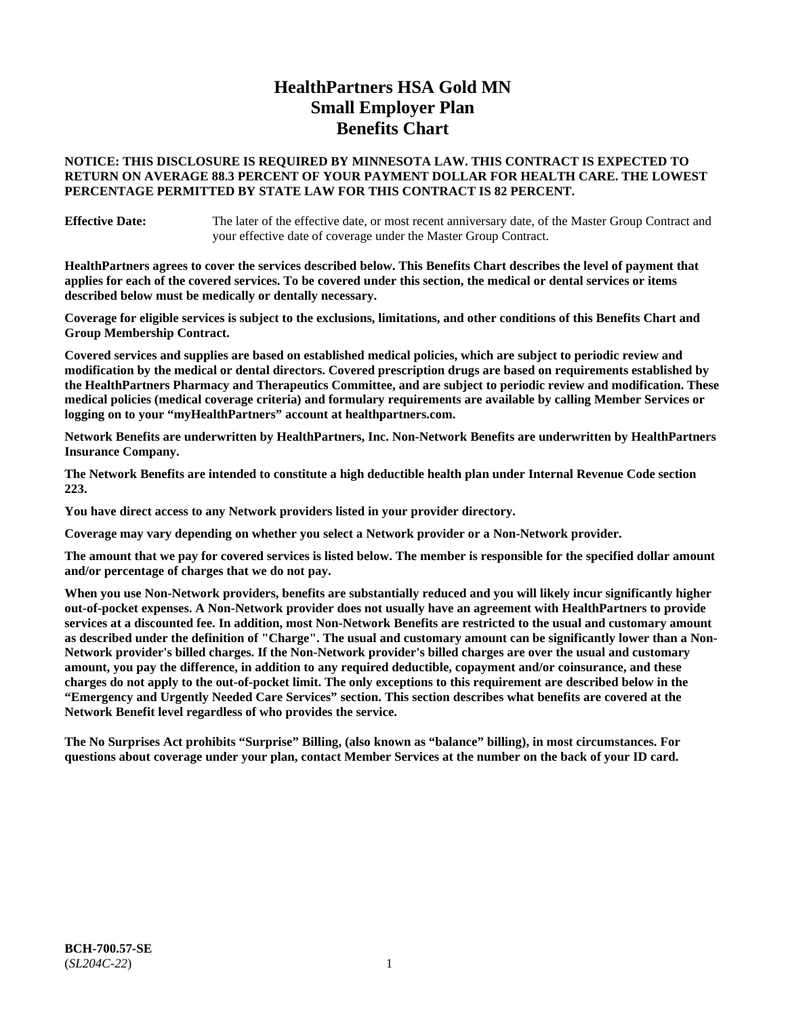# **HealthPartners HSA Gold MN Small Employer Plan Benefits Chart**

### **NOTICE: THIS DISCLOSURE IS REQUIRED BY MINNESOTA LAW. THIS CONTRACT IS EXPECTED TO RETURN ON AVERAGE 88.3 PERCENT OF YOUR PAYMENT DOLLAR FOR HEALTH CARE. THE LOWEST PERCENTAGE PERMITTED BY STATE LAW FOR THIS CONTRACT IS 82 PERCENT.**

**Effective Date:** The later of the effective date, or most recent anniversary date, of the Master Group Contract and your effective date of coverage under the Master Group Contract.

**HealthPartners agrees to cover the services described below. This Benefits Chart describes the level of payment that applies for each of the covered services. To be covered under this section, the medical or dental services or items described below must be medically or dentally necessary.**

**Coverage for eligible services is subject to the exclusions, limitations, and other conditions of this Benefits Chart and Group Membership Contract.**

**Covered services and supplies are based on established medical policies, which are subject to periodic review and modification by the medical or dental directors. Covered prescription drugs are based on requirements established by the HealthPartners Pharmacy and Therapeutics Committee, and are subject to periodic review and modification. These medical policies (medical coverage criteria) and formulary requirements are available by calling Member Services or logging on to your "myHealthPartners" account at [healthpartners.com.](https://www.healthpartners.com/hp/index.html)**

**Network Benefits are underwritten by HealthPartners, Inc. Non-Network Benefits are underwritten by HealthPartners Insurance Company.** 

**The Network Benefits are intended to constitute a high deductible health plan under Internal Revenue Code section 223.** 

**You have direct access to any Network providers listed in your provider directory.**

**Coverage may vary depending on whether you select a Network provider or a Non-Network provider.**

**The amount that we pay for covered services is listed below. The member is responsible for the specified dollar amount and/or percentage of charges that we do not pay.**

**When you use Non-Network providers, benefits are substantially reduced and you will likely incur significantly higher out-of-pocket expenses. A Non-Network provider does not usually have an agreement with HealthPartners to provide services at a discounted fee. In addition, most Non-Network Benefits are restricted to the usual and customary amount as described under the definition of "Charge". The usual and customary amount can be significantly lower than a Non-Network provider's billed charges. If the Non-Network provider's billed charges are over the usual and customary amount, you pay the difference, in addition to any required deductible, copayment and/or coinsurance, and these charges do not apply to the out-of-pocket limit. The only exceptions to this requirement are described below in the "Emergency and Urgently Needed Care Services" section. This section describes what benefits are covered at the Network Benefit level regardless of who provides the service.**

**The No Surprises Act prohibits "Surprise" Billing, (also known as "balance" billing), in most circumstances. For questions about coverage under your plan, contact Member Services at the number on the back of your ID card.**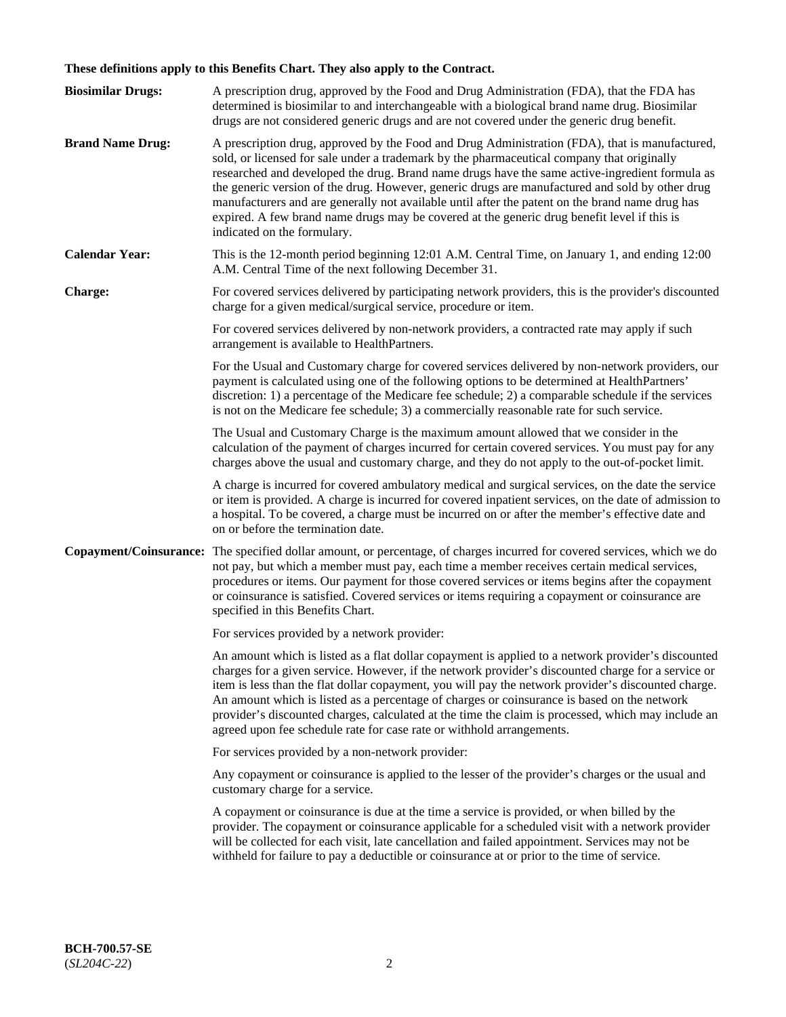# **These definitions apply to this Benefits Chart. They also apply to the Contract.**

| <b>Biosimilar Drugs:</b> | A prescription drug, approved by the Food and Drug Administration (FDA), that the FDA has<br>determined is biosimilar to and interchangeable with a biological brand name drug. Biosimilar<br>drugs are not considered generic drugs and are not covered under the generic drug benefit.                                                                                                                                                                                                                                                                                                                                           |
|--------------------------|------------------------------------------------------------------------------------------------------------------------------------------------------------------------------------------------------------------------------------------------------------------------------------------------------------------------------------------------------------------------------------------------------------------------------------------------------------------------------------------------------------------------------------------------------------------------------------------------------------------------------------|
| <b>Brand Name Drug:</b>  | A prescription drug, approved by the Food and Drug Administration (FDA), that is manufactured,<br>sold, or licensed for sale under a trademark by the pharmaceutical company that originally<br>researched and developed the drug. Brand name drugs have the same active-ingredient formula as<br>the generic version of the drug. However, generic drugs are manufactured and sold by other drug<br>manufacturers and are generally not available until after the patent on the brand name drug has<br>expired. A few brand name drugs may be covered at the generic drug benefit level if this is<br>indicated on the formulary. |
| <b>Calendar Year:</b>    | This is the 12-month period beginning 12:01 A.M. Central Time, on January 1, and ending 12:00<br>A.M. Central Time of the next following December 31.                                                                                                                                                                                                                                                                                                                                                                                                                                                                              |
| <b>Charge:</b>           | For covered services delivered by participating network providers, this is the provider's discounted<br>charge for a given medical/surgical service, procedure or item.                                                                                                                                                                                                                                                                                                                                                                                                                                                            |
|                          | For covered services delivered by non-network providers, a contracted rate may apply if such<br>arrangement is available to HealthPartners.                                                                                                                                                                                                                                                                                                                                                                                                                                                                                        |
|                          | For the Usual and Customary charge for covered services delivered by non-network providers, our<br>payment is calculated using one of the following options to be determined at HealthPartners'<br>discretion: 1) a percentage of the Medicare fee schedule; 2) a comparable schedule if the services<br>is not on the Medicare fee schedule; 3) a commercially reasonable rate for such service.                                                                                                                                                                                                                                  |
|                          | The Usual and Customary Charge is the maximum amount allowed that we consider in the<br>calculation of the payment of charges incurred for certain covered services. You must pay for any<br>charges above the usual and customary charge, and they do not apply to the out-of-pocket limit.                                                                                                                                                                                                                                                                                                                                       |
|                          | A charge is incurred for covered ambulatory medical and surgical services, on the date the service<br>or item is provided. A charge is incurred for covered inpatient services, on the date of admission to<br>a hospital. To be covered, a charge must be incurred on or after the member's effective date and<br>on or before the termination date.                                                                                                                                                                                                                                                                              |
| Copayment/Coinsurance:   | The specified dollar amount, or percentage, of charges incurred for covered services, which we do<br>not pay, but which a member must pay, each time a member receives certain medical services,<br>procedures or items. Our payment for those covered services or items begins after the copayment<br>or coinsurance is satisfied. Covered services or items requiring a copayment or coinsurance are<br>specified in this Benefits Chart.                                                                                                                                                                                        |
|                          | For services provided by a network provider:                                                                                                                                                                                                                                                                                                                                                                                                                                                                                                                                                                                       |
|                          | An amount which is listed as a flat dollar copayment is applied to a network provider's discounted<br>charges for a given service. However, if the network provider's discounted charge for a service or<br>item is less than the flat dollar copayment, you will pay the network provider's discounted charge.<br>An amount which is listed as a percentage of charges or coinsurance is based on the network<br>provider's discounted charges, calculated at the time the claim is processed, which may include an<br>agreed upon fee schedule rate for case rate or withhold arrangements.                                      |
|                          | For services provided by a non-network provider:                                                                                                                                                                                                                                                                                                                                                                                                                                                                                                                                                                                   |
|                          | Any copayment or coinsurance is applied to the lesser of the provider's charges or the usual and<br>customary charge for a service.                                                                                                                                                                                                                                                                                                                                                                                                                                                                                                |
|                          | A copayment or coinsurance is due at the time a service is provided, or when billed by the<br>provider. The copayment or coinsurance applicable for a scheduled visit with a network provider<br>will be collected for each visit, late cancellation and failed appointment. Services may not be<br>withheld for failure to pay a deductible or coinsurance at or prior to the time of service.                                                                                                                                                                                                                                    |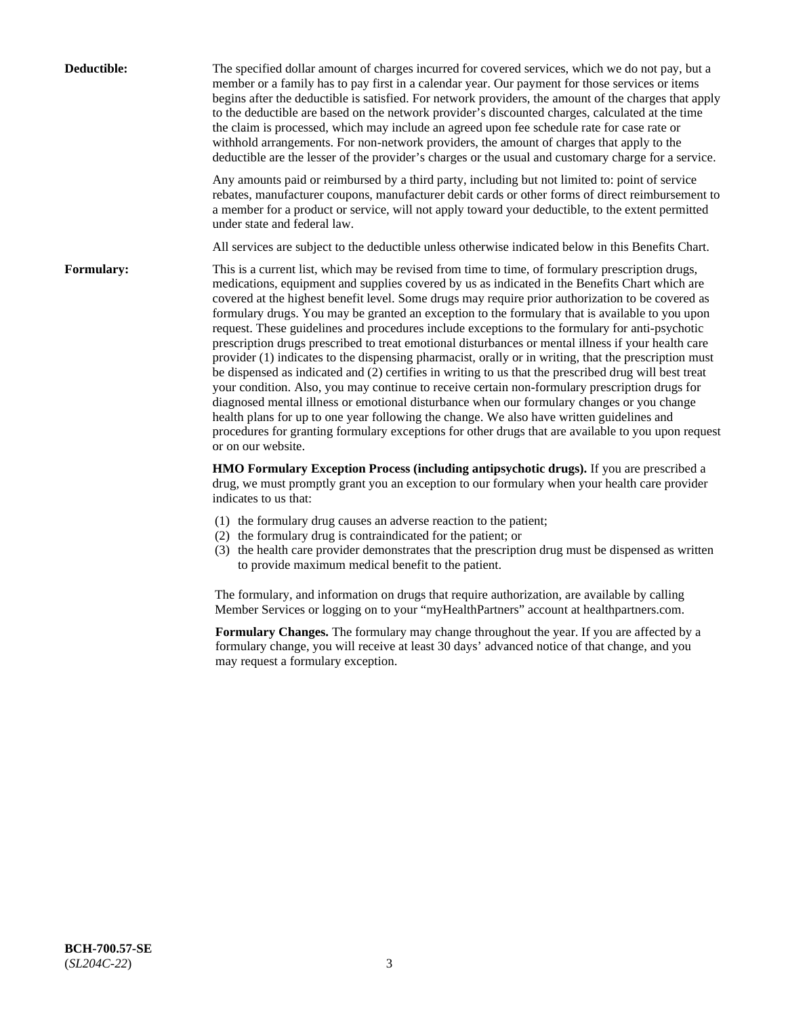| Deductible: | The specified dollar amount of charges incurred for covered services, which we do not pay, but a<br>member or a family has to pay first in a calendar year. Our payment for those services or items<br>begins after the deductible is satisfied. For network providers, the amount of the charges that apply<br>to the deductible are based on the network provider's discounted charges, calculated at the time<br>the claim is processed, which may include an agreed upon fee schedule rate for case rate or<br>withhold arrangements. For non-network providers, the amount of charges that apply to the<br>deductible are the lesser of the provider's charges or the usual and customary charge for a service.                                                                                                                                                                                                                                                                                                                                                                                                                                                                                                                                             |
|-------------|------------------------------------------------------------------------------------------------------------------------------------------------------------------------------------------------------------------------------------------------------------------------------------------------------------------------------------------------------------------------------------------------------------------------------------------------------------------------------------------------------------------------------------------------------------------------------------------------------------------------------------------------------------------------------------------------------------------------------------------------------------------------------------------------------------------------------------------------------------------------------------------------------------------------------------------------------------------------------------------------------------------------------------------------------------------------------------------------------------------------------------------------------------------------------------------------------------------------------------------------------------------|
|             | Any amounts paid or reimbursed by a third party, including but not limited to: point of service<br>rebates, manufacturer coupons, manufacturer debit cards or other forms of direct reimbursement to<br>a member for a product or service, will not apply toward your deductible, to the extent permitted<br>under state and federal law.                                                                                                                                                                                                                                                                                                                                                                                                                                                                                                                                                                                                                                                                                                                                                                                                                                                                                                                        |
|             | All services are subject to the deductible unless otherwise indicated below in this Benefits Chart.                                                                                                                                                                                                                                                                                                                                                                                                                                                                                                                                                                                                                                                                                                                                                                                                                                                                                                                                                                                                                                                                                                                                                              |
| Formulary:  | This is a current list, which may be revised from time to time, of formulary prescription drugs,<br>medications, equipment and supplies covered by us as indicated in the Benefits Chart which are<br>covered at the highest benefit level. Some drugs may require prior authorization to be covered as<br>formulary drugs. You may be granted an exception to the formulary that is available to you upon<br>request. These guidelines and procedures include exceptions to the formulary for anti-psychotic<br>prescription drugs prescribed to treat emotional disturbances or mental illness if your health care<br>provider (1) indicates to the dispensing pharmacist, orally or in writing, that the prescription must<br>be dispensed as indicated and (2) certifies in writing to us that the prescribed drug will best treat<br>your condition. Also, you may continue to receive certain non-formulary prescription drugs for<br>diagnosed mental illness or emotional disturbance when our formulary changes or you change<br>health plans for up to one year following the change. We also have written guidelines and<br>procedures for granting formulary exceptions for other drugs that are available to you upon request<br>or on our website. |
|             | HMO Formulary Exception Process (including antipsychotic drugs). If you are prescribed a<br>drug, we must promptly grant you an exception to our formulary when your health care provider<br>indicates to us that:                                                                                                                                                                                                                                                                                                                                                                                                                                                                                                                                                                                                                                                                                                                                                                                                                                                                                                                                                                                                                                               |
|             | (1) the formulary drug causes an adverse reaction to the patient;<br>(2) the formulary drug is contraindicated for the patient; or<br>(3) the health care provider demonstrates that the prescription drug must be dispensed as written<br>to provide maximum medical benefit to the patient.                                                                                                                                                                                                                                                                                                                                                                                                                                                                                                                                                                                                                                                                                                                                                                                                                                                                                                                                                                    |
|             | The formulary, and information on drugs that require authorization, are available by calling<br>Member Services or logging on to your "myHealthPartners" account at healthpartners.com.                                                                                                                                                                                                                                                                                                                                                                                                                                                                                                                                                                                                                                                                                                                                                                                                                                                                                                                                                                                                                                                                          |
|             | Formulary Changes. The formulary may change throughout the year. If you are affected by a<br>formulary change, you will receive at least 30 days' advanced notice of that change, and you<br>may request a formulary exception.                                                                                                                                                                                                                                                                                                                                                                                                                                                                                                                                                                                                                                                                                                                                                                                                                                                                                                                                                                                                                                  |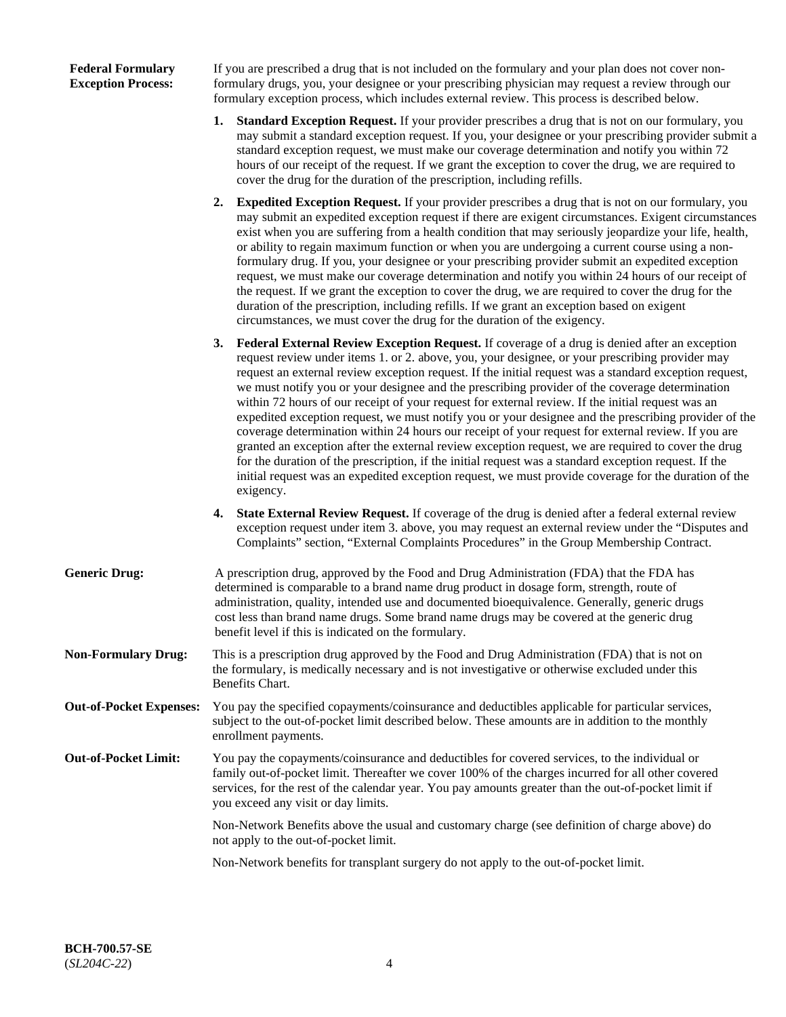### **Federal Formulary Exception Process:**

If you are prescribed a drug that is not included on the formulary and your plan does not cover nonformulary drugs, you, your designee or your prescribing physician may request a review through our formulary exception process, which includes external review. This process is described below.

- **1. Standard Exception Request.** If your provider prescribes a drug that is not on our formulary, you may submit a standard exception request. If you, your designee or your prescribing provider submit a standard exception request, we must make our coverage determination and notify you within 72 hours of our receipt of the request. If we grant the exception to cover the drug, we are required to cover the drug for the duration of the prescription, including refills.
- **2. Expedited Exception Request.** If your provider prescribes a drug that is not on our formulary, you may submit an expedited exception request if there are exigent circumstances. Exigent circumstances exist when you are suffering from a health condition that may seriously jeopardize your life, health, or ability to regain maximum function or when you are undergoing a current course using a nonformulary drug. If you, your designee or your prescribing provider submit an expedited exception request, we must make our coverage determination and notify you within 24 hours of our receipt of the request. If we grant the exception to cover the drug, we are required to cover the drug for the duration of the prescription, including refills. If we grant an exception based on exigent circumstances, we must cover the drug for the duration of the exigency.
- **3. Federal External Review Exception Request.** If coverage of a drug is denied after an exception request review under items 1. or 2. above, you, your designee, or your prescribing provider may request an external review exception request. If the initial request was a standard exception request, we must notify you or your designee and the prescribing provider of the coverage determination within 72 hours of our receipt of your request for external review. If the initial request was an expedited exception request, we must notify you or your designee and the prescribing provider of the coverage determination within 24 hours our receipt of your request for external review. If you are granted an exception after the external review exception request, we are required to cover the drug for the duration of the prescription, if the initial request was a standard exception request. If the initial request was an expedited exception request, we must provide coverage for the duration of the exigency.
- **4. State External Review Request.** If coverage of the drug is denied after a federal external review exception request under item 3. above, you may request an external review under the "Disputes and Complaints" section, "External Complaints Procedures" in the Group Membership Contract.
- **Generic Drug:** A prescription drug, approved by the Food and Drug Administration (FDA) that the FDA has determined is comparable to a brand name drug product in dosage form, strength, route of administration, quality, intended use and documented bioequivalence. Generally, generic drugs cost less than brand name drugs. Some brand name drugs may be covered at the generic drug benefit level if this is indicated on the formulary.
- **Non-Formulary Drug:** This is a prescription drug approved by the Food and Drug Administration (FDA) that is not on the formulary, is medically necessary and is not investigative or otherwise excluded under this Benefits Chart.
- **Out-of-Pocket Expenses:** You pay the specified copayments/coinsurance and deductibles applicable for particular services, subject to the out-of-pocket limit described below. These amounts are in addition to the monthly enrollment payments.
- **Out-of-Pocket Limit:** You pay the copayments/coinsurance and deductibles for covered services, to the individual or family out-of-pocket limit. Thereafter we cover 100% of the charges incurred for all other covered services, for the rest of the calendar year. You pay amounts greater than the out-of-pocket limit if you exceed any visit or day limits.

Non-Network Benefits above the usual and customary charge (see definition of charge above) do not apply to the out-of-pocket limit.

Non-Network benefits for transplant surgery do not apply to the out-of-pocket limit.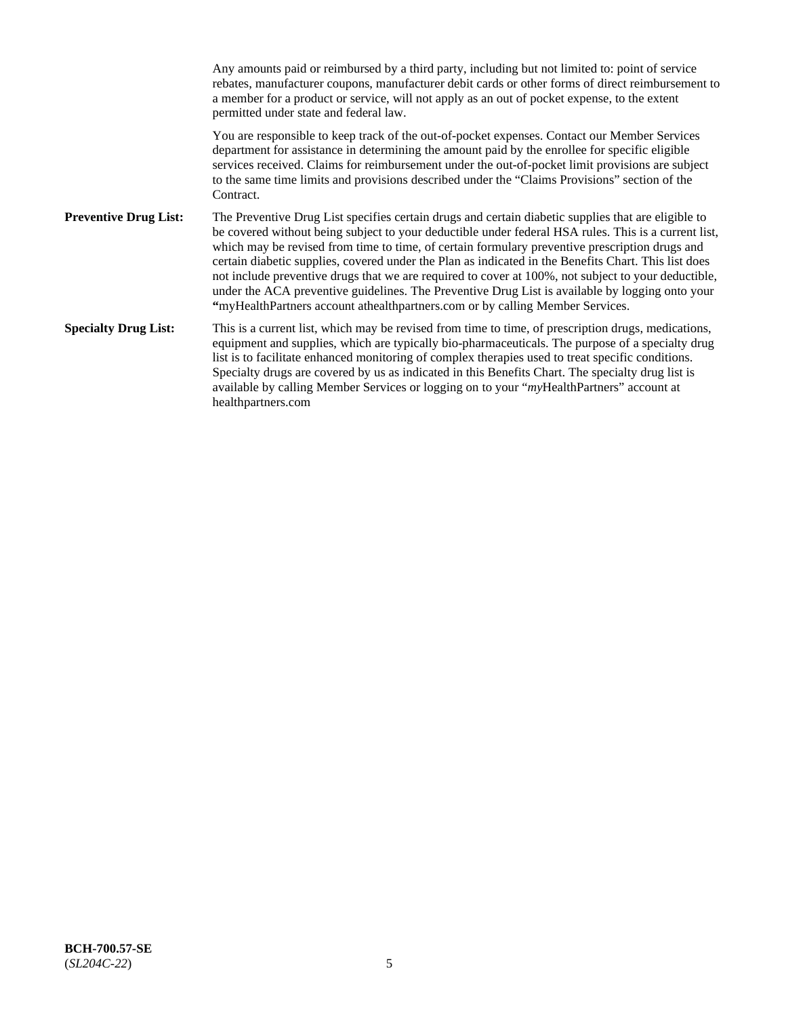Any amounts paid or reimbursed by a third party, including but not limited to: point of service rebates, manufacturer coupons, manufacturer debit cards or other forms of direct reimbursement to a member for a product or service, will not apply as an out of pocket expense, to the extent permitted under state and federal law. You are responsible to keep track of the out-of-pocket expenses. Contact our Member Services department for assistance in determining the amount paid by the enrollee for specific eligible services received. Claims for reimbursement under the out-of-pocket limit provisions are subject to the same time limits and provisions described under the "Claims Provisions" section of the **Contract Preventive Drug List:** The Preventive Drug List specifies certain drugs and certain diabetic supplies that are eligible to be covered without being subject to your deductible under federal HSA rules. This is a current list, which may be revised from time to time, of certain formulary preventive prescription drugs and certain diabetic supplies, covered under the Plan as indicated in the Benefits Chart. This list does not include preventive drugs that we are required to cover at 100%, not subject to your deductible, under the ACA preventive guidelines. The Preventive Drug List is available by logging onto your **"**myHealthPartners account athealthpartners.com or by calling Member Services. **Specialty Drug List:** This is a current list, which may be revised from time to time, of prescription drugs, medications, equipment and supplies, which are typically bio-pharmaceuticals. The purpose of a specialty drug list is to facilitate enhanced monitoring of complex therapies used to treat specific conditions. Specialty drugs are covered by us as indicated in this Benefits Chart. The specialty drug list is available by calling Member Services or logging on to your "*my*HealthPartners" account at [healthpartners.com](https://www.healthpartners.com/hp/index.html)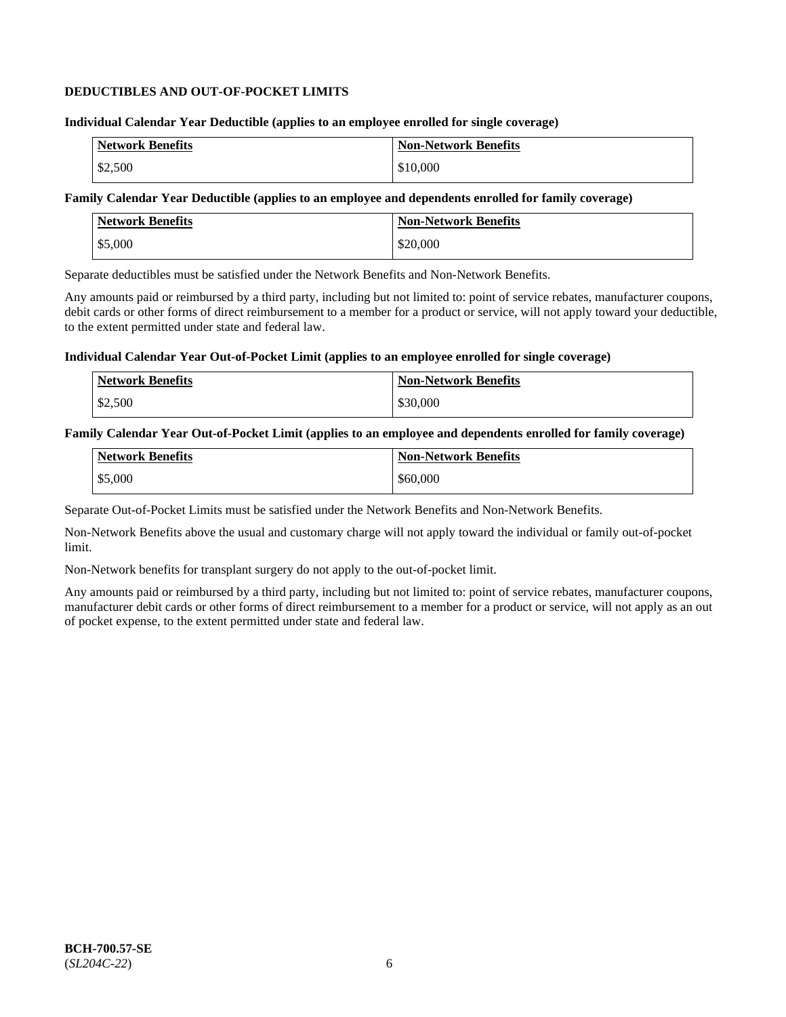### **DEDUCTIBLES AND OUT-OF-POCKET LIMITS**

### **Individual Calendar Year Deductible (applies to an employee enrolled for single coverage)**

| <b>Network Benefits</b> | <b>Non-Network Benefits</b> |
|-------------------------|-----------------------------|
| \$2,500                 | \$10,000                    |

### **Family Calendar Year Deductible (applies to an employee and dependents enrolled for family coverage)**

| <b>Network Benefits</b> | <b>Non-Network Benefits</b> |
|-------------------------|-----------------------------|
| \$5,000                 | \$20,000                    |

Separate deductibles must be satisfied under the Network Benefits and Non-Network Benefits.

Any amounts paid or reimbursed by a third party, including but not limited to: point of service rebates, manufacturer coupons, debit cards or other forms of direct reimbursement to a member for a product or service, will not apply toward your deductible, to the extent permitted under state and federal law.

### **Individual Calendar Year Out-of-Pocket Limit (applies to an employee enrolled for single coverage)**

| Network Benefits | <b>Non-Network Benefits</b> |
|------------------|-----------------------------|
| \$2,500          | \$30,000                    |

#### **Family Calendar Year Out-of-Pocket Limit (applies to an employee and dependents enrolled for family coverage)**

| <b>Network Benefits</b> | Non-Network Benefits |
|-------------------------|----------------------|
| \$5,000                 | \$60,000             |

Separate Out-of-Pocket Limits must be satisfied under the Network Benefits and Non-Network Benefits.

Non-Network Benefits above the usual and customary charge will not apply toward the individual or family out-of-pocket limit.

Non-Network benefits for transplant surgery do not apply to the out-of-pocket limit.

Any amounts paid or reimbursed by a third party, including but not limited to: point of service rebates, manufacturer coupons, manufacturer debit cards or other forms of direct reimbursement to a member for a product or service, will not apply as an out of pocket expense, to the extent permitted under state and federal law.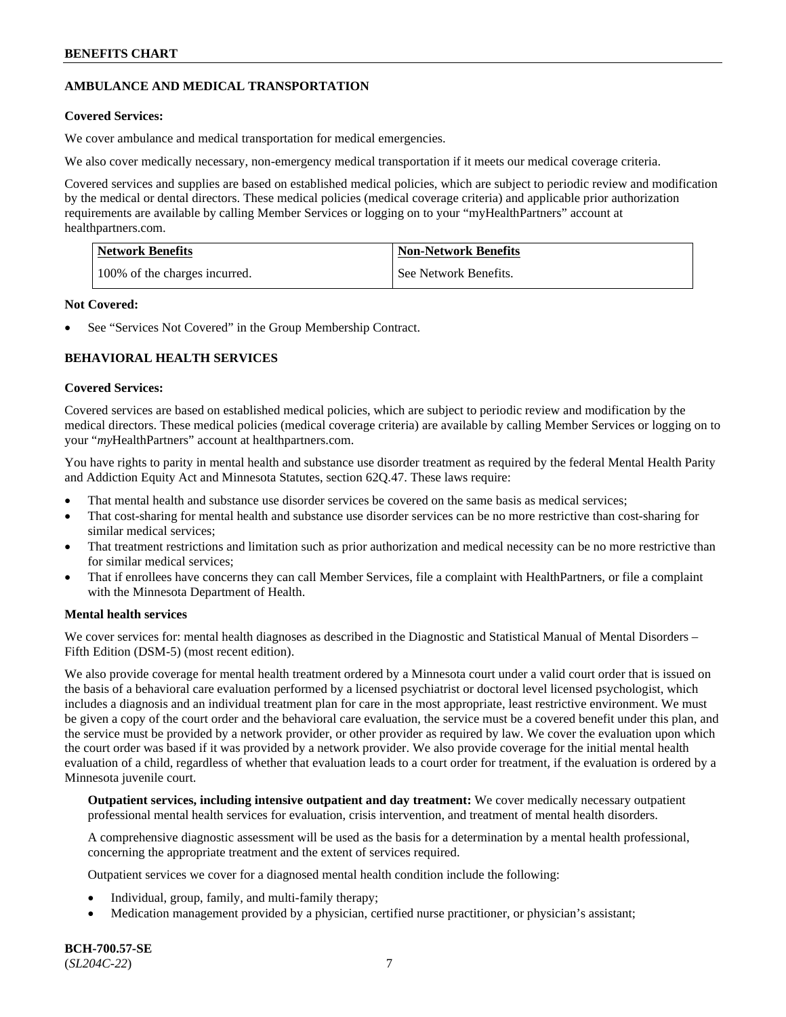## **AMBULANCE AND MEDICAL TRANSPORTATION**

### **Covered Services:**

We cover ambulance and medical transportation for medical emergencies.

We also cover medically necessary, non-emergency medical transportation if it meets our medical coverage criteria.

Covered services and supplies are based on established medical policies, which are subject to periodic review and modification by the medical or dental directors. These medical policies (medical coverage criteria) and applicable prior authorization requirements are available by calling Member Services or logging on to your "myHealthPartners" account at [healthpartners.com.](https://www.healthpartners.com/hp/index.html)

| <b>Network Benefits</b>       | <b>Non-Network Benefits</b> |
|-------------------------------|-----------------------------|
| 100% of the charges incurred. | See Network Benefits.       |

### **Not Covered:**

See "Services Not Covered" in the Group Membership Contract.

## **BEHAVIORAL HEALTH SERVICES**

## **Covered Services:**

Covered services are based on established medical policies, which are subject to periodic review and modification by the medical directors. These medical policies (medical coverage criteria) are available by calling Member Services or logging on to your "*my*HealthPartners" account at [healthpartners.com.](http://www.healthpartners.com/)

You have rights to parity in mental health and substance use disorder treatment as required by the federal Mental Health Parity and Addiction Equity Act and Minnesota Statutes, section 62Q.47. These laws require:

- That mental health and substance use disorder services be covered on the same basis as medical services;
- That cost-sharing for mental health and substance use disorder services can be no more restrictive than cost-sharing for similar medical services;
- That treatment restrictions and limitation such as prior authorization and medical necessity can be no more restrictive than for similar medical services;
- That if enrollees have concerns they can call Member Services, file a complaint with HealthPartners, or file a complaint with the Minnesota Department of Health.

### **Mental health services**

We cover services for: mental health diagnoses as described in the Diagnostic and Statistical Manual of Mental Disorders – Fifth Edition (DSM-5) (most recent edition).

We also provide coverage for mental health treatment ordered by a Minnesota court under a valid court order that is issued on the basis of a behavioral care evaluation performed by a licensed psychiatrist or doctoral level licensed psychologist, which includes a diagnosis and an individual treatment plan for care in the most appropriate, least restrictive environment. We must be given a copy of the court order and the behavioral care evaluation, the service must be a covered benefit under this plan, and the service must be provided by a network provider, or other provider as required by law. We cover the evaluation upon which the court order was based if it was provided by a network provider. We also provide coverage for the initial mental health evaluation of a child, regardless of whether that evaluation leads to a court order for treatment, if the evaluation is ordered by a Minnesota juvenile court.

**Outpatient services, including intensive outpatient and day treatment:** We cover medically necessary outpatient professional mental health services for evaluation, crisis intervention, and treatment of mental health disorders.

A comprehensive diagnostic assessment will be used as the basis for a determination by a mental health professional, concerning the appropriate treatment and the extent of services required.

Outpatient services we cover for a diagnosed mental health condition include the following:

- Individual, group, family, and multi-family therapy;
- Medication management provided by a physician, certified nurse practitioner, or physician's assistant;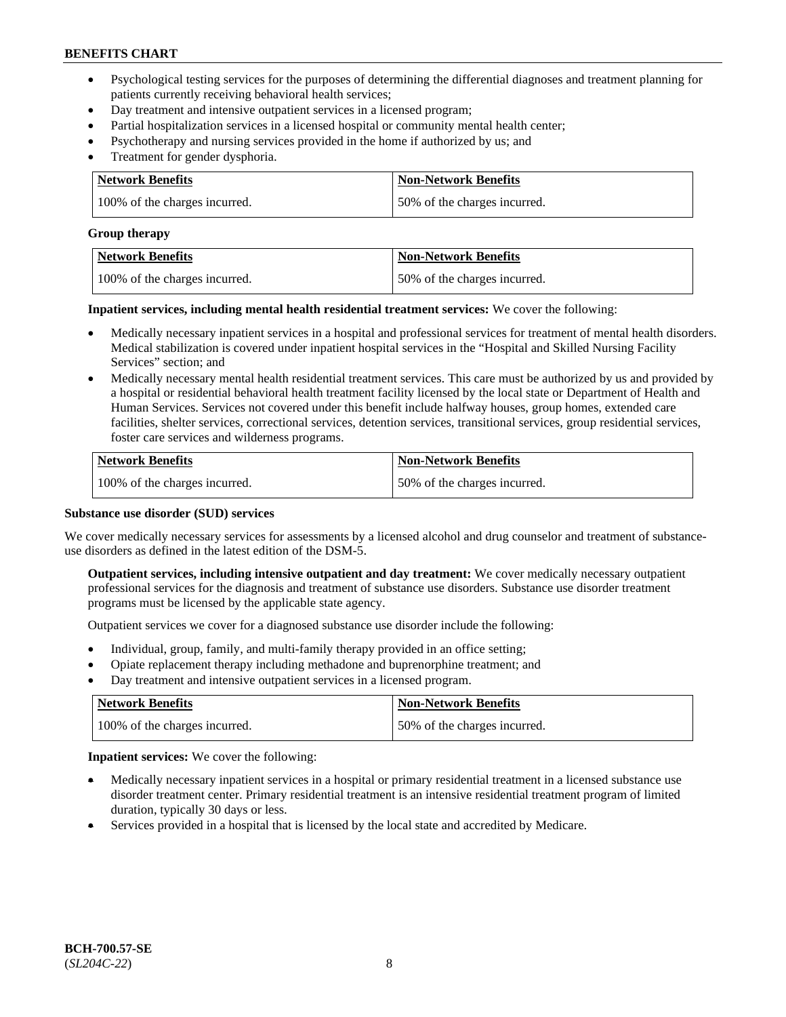- Psychological testing services for the purposes of determining the differential diagnoses and treatment planning for patients currently receiving behavioral health services;
- Day treatment and intensive outpatient services in a licensed program;
- Partial hospitalization services in a licensed hospital or community mental health center;
- Psychotherapy and nursing services provided in the home if authorized by us; and
- Treatment for gender dysphoria.

| Network Benefits              | <b>Non-Network Benefits</b>  |
|-------------------------------|------------------------------|
| 100% of the charges incurred. | 50% of the charges incurred. |

#### **Group therapy**

| Network Benefits              | <b>Non-Network Benefits</b>  |
|-------------------------------|------------------------------|
| 100% of the charges incurred. | 50% of the charges incurred. |

**Inpatient services, including mental health residential treatment services:** We cover the following:

- Medically necessary inpatient services in a hospital and professional services for treatment of mental health disorders. Medical stabilization is covered under inpatient hospital services in the "Hospital and Skilled Nursing Facility Services" section; and
- Medically necessary mental health residential treatment services. This care must be authorized by us and provided by a hospital or residential behavioral health treatment facility licensed by the local state or Department of Health and Human Services. Services not covered under this benefit include halfway houses, group homes, extended care facilities, shelter services, correctional services, detention services, transitional services, group residential services, foster care services and wilderness programs.

| Network Benefits              | <b>Non-Network Benefits</b>  |
|-------------------------------|------------------------------|
| 100% of the charges incurred. | 50% of the charges incurred. |

### **Substance use disorder (SUD) services**

We cover medically necessary services for assessments by a licensed alcohol and drug counselor and treatment of substanceuse disorders as defined in the latest edition of the DSM-5.

**Outpatient services, including intensive outpatient and day treatment:** We cover medically necessary outpatient professional services for the diagnosis and treatment of substance use disorders. Substance use disorder treatment programs must be licensed by the applicable state agency.

Outpatient services we cover for a diagnosed substance use disorder include the following:

- Individual, group, family, and multi-family therapy provided in an office setting;
- Opiate replacement therapy including methadone and buprenorphine treatment; and
- Day treatment and intensive outpatient services in a licensed program.

| Network Benefits              | <b>Non-Network Benefits</b>  |
|-------------------------------|------------------------------|
| 100% of the charges incurred. | 50% of the charges incurred. |

**Inpatient services:** We cover the following:

- Medically necessary inpatient services in a hospital or primary residential treatment in a licensed substance use disorder treatment center. Primary residential treatment is an intensive residential treatment program of limited duration, typically 30 days or less.
- Services provided in a hospital that is licensed by the local state and accredited by Medicare.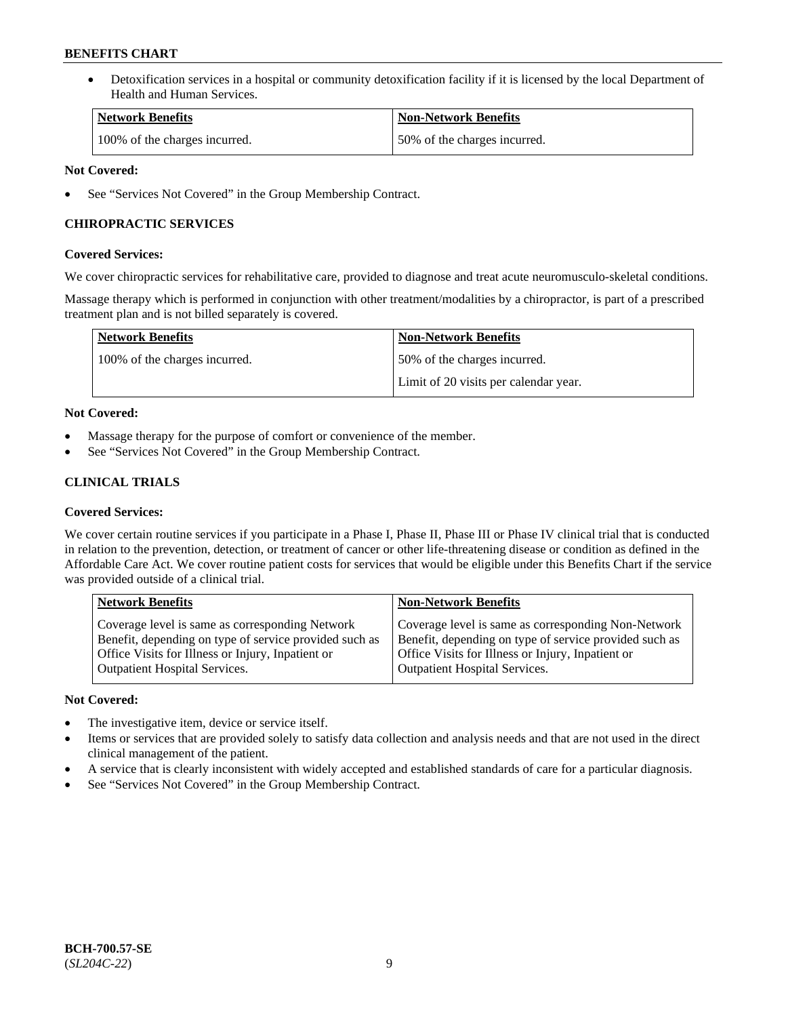• Detoxification services in a hospital or community detoxification facility if it is licensed by the local Department of Health and Human Services.

| <b>Network Benefits</b>       | <b>Non-Network Benefits</b>  |
|-------------------------------|------------------------------|
| 100% of the charges incurred. | 50% of the charges incurred. |

### **Not Covered:**

See "Services Not Covered" in the Group Membership Contract.

### **CHIROPRACTIC SERVICES**

### **Covered Services:**

We cover chiropractic services for rehabilitative care, provided to diagnose and treat acute neuromusculo-skeletal conditions.

Massage therapy which is performed in conjunction with other treatment/modalities by a chiropractor, is part of a prescribed treatment plan and is not billed separately is covered.

| <b>Network Benefits</b>       | <b>Non-Network Benefits</b>           |
|-------------------------------|---------------------------------------|
| 100% of the charges incurred. | 50% of the charges incurred.          |
|                               | Limit of 20 visits per calendar year. |

### **Not Covered:**

- Massage therapy for the purpose of comfort or convenience of the member.
- See "Services Not Covered" in the Group Membership Contract.

## **CLINICAL TRIALS**

### **Covered Services:**

We cover certain routine services if you participate in a Phase I, Phase II, Phase III or Phase IV clinical trial that is conducted in relation to the prevention, detection, or treatment of cancer or other life-threatening disease or condition as defined in the Affordable Care Act. We cover routine patient costs for services that would be eligible under this Benefits Chart if the service was provided outside of a clinical trial.

| <b>Network Benefits</b>                                                                                                                                                                                | <b>Non-Network Benefits</b>                                                                                                                                                                         |
|--------------------------------------------------------------------------------------------------------------------------------------------------------------------------------------------------------|-----------------------------------------------------------------------------------------------------------------------------------------------------------------------------------------------------|
| Coverage level is same as corresponding Network<br>Benefit, depending on type of service provided such as<br>Office Visits for Illness or Injury, Inpatient or<br><b>Outpatient Hospital Services.</b> | Coverage level is same as corresponding Non-Network<br>Benefit, depending on type of service provided such as<br>Office Visits for Illness or Injury, Inpatient or<br>Outpatient Hospital Services. |
|                                                                                                                                                                                                        |                                                                                                                                                                                                     |

### **Not Covered:**

- The investigative item, device or service itself.
- Items or services that are provided solely to satisfy data collection and analysis needs and that are not used in the direct clinical management of the patient.
- A service that is clearly inconsistent with widely accepted and established standards of care for a particular diagnosis.
- See "Services Not Covered" in the Group Membership Contract.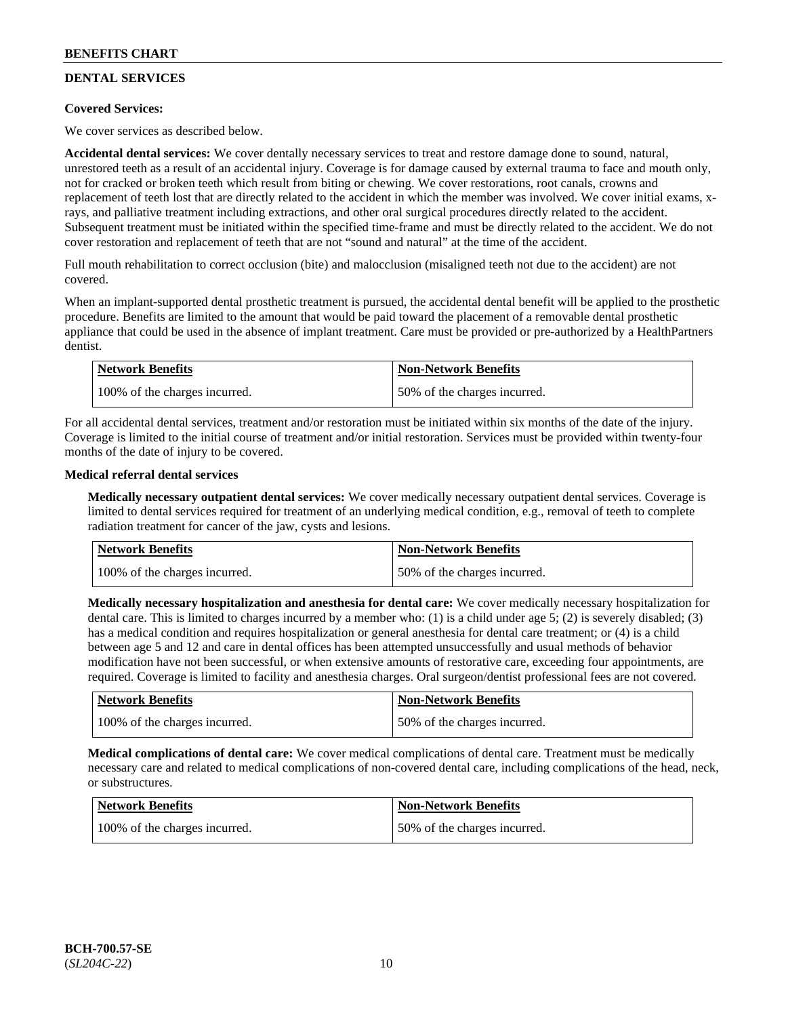## **DENTAL SERVICES**

### **Covered Services:**

We cover services as described below.

**Accidental dental services:** We cover dentally necessary services to treat and restore damage done to sound, natural, unrestored teeth as a result of an accidental injury. Coverage is for damage caused by external trauma to face and mouth only, not for cracked or broken teeth which result from biting or chewing. We cover restorations, root canals, crowns and replacement of teeth lost that are directly related to the accident in which the member was involved. We cover initial exams, xrays, and palliative treatment including extractions, and other oral surgical procedures directly related to the accident. Subsequent treatment must be initiated within the specified time-frame and must be directly related to the accident. We do not cover restoration and replacement of teeth that are not "sound and natural" at the time of the accident.

Full mouth rehabilitation to correct occlusion (bite) and malocclusion (misaligned teeth not due to the accident) are not covered.

When an implant-supported dental prosthetic treatment is pursued, the accidental dental benefit will be applied to the prosthetic procedure. Benefits are limited to the amount that would be paid toward the placement of a removable dental prosthetic appliance that could be used in the absence of implant treatment. Care must be provided or pre-authorized by a HealthPartners dentist.

| <b>Network Benefits</b>       | <b>Non-Network Benefits</b>  |
|-------------------------------|------------------------------|
| 100% of the charges incurred. | 50% of the charges incurred. |

For all accidental dental services, treatment and/or restoration must be initiated within six months of the date of the injury. Coverage is limited to the initial course of treatment and/or initial restoration. Services must be provided within twenty-four months of the date of injury to be covered.

### **Medical referral dental services**

**Medically necessary outpatient dental services:** We cover medically necessary outpatient dental services. Coverage is limited to dental services required for treatment of an underlying medical condition, e.g., removal of teeth to complete radiation treatment for cancer of the jaw, cysts and lesions.

| Network Benefits              | <b>Non-Network Benefits</b>  |
|-------------------------------|------------------------------|
| 100% of the charges incurred. | 50% of the charges incurred. |

**Medically necessary hospitalization and anesthesia for dental care:** We cover medically necessary hospitalization for dental care. This is limited to charges incurred by a member who: (1) is a child under age 5; (2) is severely disabled; (3) has a medical condition and requires hospitalization or general anesthesia for dental care treatment; or (4) is a child between age 5 and 12 and care in dental offices has been attempted unsuccessfully and usual methods of behavior modification have not been successful, or when extensive amounts of restorative care, exceeding four appointments, are required. Coverage is limited to facility and anesthesia charges. Oral surgeon/dentist professional fees are not covered.

| <b>Network Benefits</b>       | <b>Non-Network Benefits</b>  |
|-------------------------------|------------------------------|
| 100% of the charges incurred. | 50% of the charges incurred. |

**Medical complications of dental care:** We cover medical complications of dental care. Treatment must be medically necessary care and related to medical complications of non-covered dental care, including complications of the head, neck, or substructures.

| Network Benefits              | <b>Non-Network Benefits</b>  |
|-------------------------------|------------------------------|
| 100% of the charges incurred. | 50% of the charges incurred. |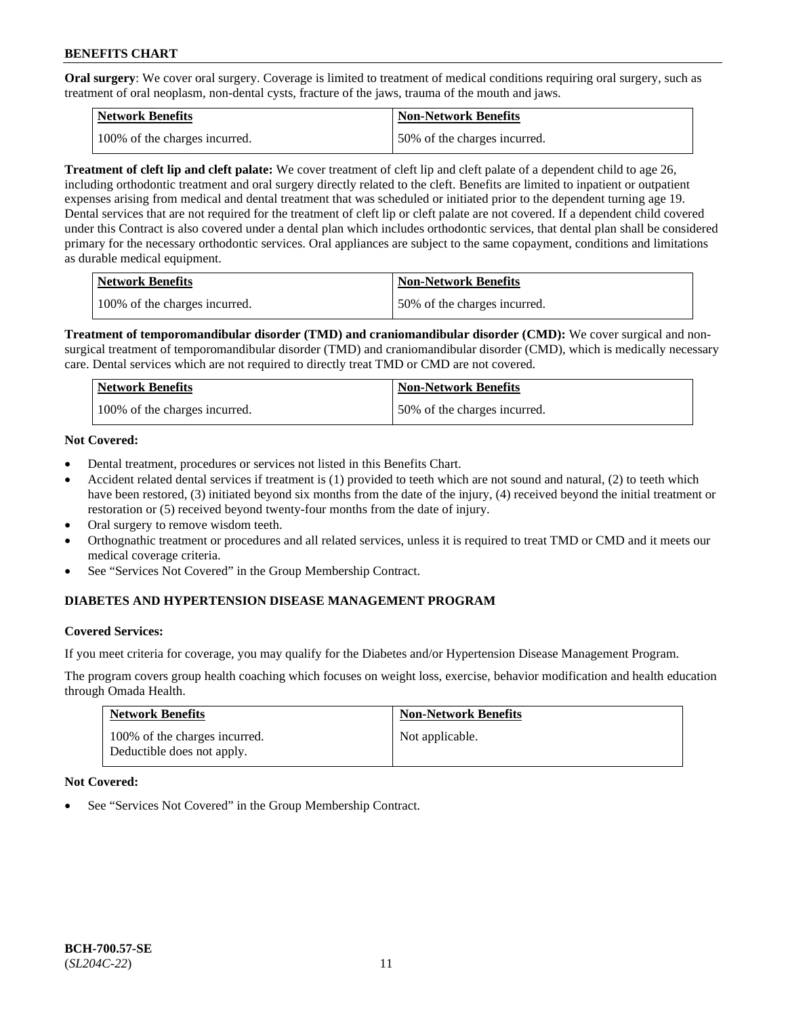**Oral surgery**: We cover oral surgery. Coverage is limited to treatment of medical conditions requiring oral surgery, such as treatment of oral neoplasm, non-dental cysts, fracture of the jaws, trauma of the mouth and jaws.

| Network Benefits              | <b>Non-Network Benefits</b>  |
|-------------------------------|------------------------------|
| 100% of the charges incurred. | 50% of the charges incurred. |

**Treatment of cleft lip and cleft palate:** We cover treatment of cleft lip and cleft palate of a dependent child to age 26, including orthodontic treatment and oral surgery directly related to the cleft. Benefits are limited to inpatient or outpatient expenses arising from medical and dental treatment that was scheduled or initiated prior to the dependent turning age 19. Dental services that are not required for the treatment of cleft lip or cleft palate are not covered. If a dependent child covered under this Contract is also covered under a dental plan which includes orthodontic services, that dental plan shall be considered primary for the necessary orthodontic services. Oral appliances are subject to the same copayment, conditions and limitations as durable medical equipment.

| <b>Network Benefits</b>       | <b>Non-Network Benefits</b>  |
|-------------------------------|------------------------------|
| 100% of the charges incurred. | 50% of the charges incurred. |

**Treatment of temporomandibular disorder (TMD) and craniomandibular disorder (CMD):** We cover surgical and nonsurgical treatment of temporomandibular disorder (TMD) and craniomandibular disorder (CMD), which is medically necessary care. Dental services which are not required to directly treat TMD or CMD are not covered.

| Network Benefits              | <b>Non-Network Benefits</b>  |
|-------------------------------|------------------------------|
| 100% of the charges incurred. | 50% of the charges incurred. |

### **Not Covered:**

- Dental treatment, procedures or services not listed in this Benefits Chart.
- Accident related dental services if treatment is (1) provided to teeth which are not sound and natural, (2) to teeth which have been restored, (3) initiated beyond six months from the date of the injury, (4) received beyond the initial treatment or restoration or (5) received beyond twenty-four months from the date of injury.
- Oral surgery to remove wisdom teeth.
- Orthognathic treatment or procedures and all related services, unless it is required to treat TMD or CMD and it meets our medical coverage criteria.
- See "Services Not Covered" in the Group Membership Contract.

### **DIABETES AND HYPERTENSION DISEASE MANAGEMENT PROGRAM**

#### **Covered Services:**

If you meet criteria for coverage, you may qualify for the Diabetes and/or Hypertension Disease Management Program.

The program covers group health coaching which focuses on weight loss, exercise, behavior modification and health education through Omada Health.

| <b>Network Benefits</b>                                     | <b>Non-Network Benefits</b> |
|-------------------------------------------------------------|-----------------------------|
| 100% of the charges incurred.<br>Deductible does not apply. | Not applicable.             |

#### **Not Covered:**

See "Services Not Covered" in the Group Membership Contract.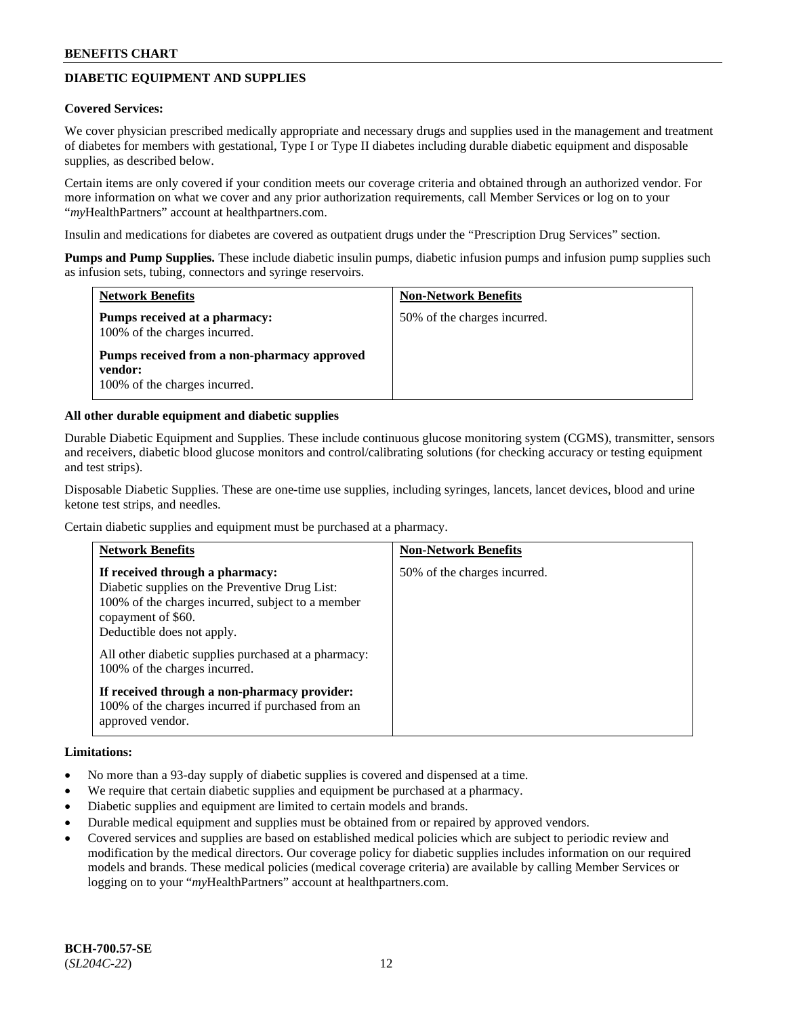## **DIABETIC EQUIPMENT AND SUPPLIES**

#### **Covered Services:**

We cover physician prescribed medically appropriate and necessary drugs and supplies used in the management and treatment of diabetes for members with gestational, Type I or Type II diabetes including durable diabetic equipment and disposable supplies, as described below.

Certain items are only covered if your condition meets our coverage criteria and obtained through an authorized vendor. For more information on what we cover and any prior authorization requirements, call Member Services or log on to your "*my*HealthPartners" account at [healthpartners.com.](http://www.healthpartners.com/)

Insulin and medications for diabetes are covered as outpatient drugs under the "Prescription Drug Services" section.

**Pumps and Pump Supplies.** These include diabetic insulin pumps, diabetic infusion pumps and infusion pump supplies such as infusion sets, tubing, connectors and syringe reservoirs.

| <b>Network Benefits</b>                                                                 | <b>Non-Network Benefits</b>  |
|-----------------------------------------------------------------------------------------|------------------------------|
| Pumps received at a pharmacy:<br>100% of the charges incurred.                          | 50% of the charges incurred. |
| Pumps received from a non-pharmacy approved<br>vendor:<br>100% of the charges incurred. |                              |

#### **All other durable equipment and diabetic supplies**

Durable Diabetic Equipment and Supplies. These include continuous glucose monitoring system (CGMS), transmitter, sensors and receivers, diabetic blood glucose monitors and control/calibrating solutions (for checking accuracy or testing equipment and test strips).

Disposable Diabetic Supplies. These are one-time use supplies, including syringes, lancets, lancet devices, blood and urine ketone test strips, and needles.

Certain diabetic supplies and equipment must be purchased at a pharmacy.

| <b>Network Benefits</b>                                                                                                                                                                                                                                                             | <b>Non-Network Benefits</b>  |
|-------------------------------------------------------------------------------------------------------------------------------------------------------------------------------------------------------------------------------------------------------------------------------------|------------------------------|
| If received through a pharmacy:<br>Diabetic supplies on the Preventive Drug List:<br>100% of the charges incurred, subject to a member<br>copayment of \$60.<br>Deductible does not apply.<br>All other diabetic supplies purchased at a pharmacy:<br>100% of the charges incurred. | 50% of the charges incurred. |
| If received through a non-pharmacy provider:<br>100% of the charges incurred if purchased from an<br>approved vendor.                                                                                                                                                               |                              |

#### **Limitations:**

- No more than a 93-day supply of diabetic supplies is covered and dispensed at a time.
- We require that certain diabetic supplies and equipment be purchased at a pharmacy.
- Diabetic supplies and equipment are limited to certain models and brands.
- Durable medical equipment and supplies must be obtained from or repaired by approved vendors.
- Covered services and supplies are based on established medical policies which are subject to periodic review and modification by the medical directors. Our coverage policy for diabetic supplies includes information on our required models and brands. These medical policies (medical coverage criteria) are available by calling Member Services or logging on to your "*my*HealthPartners" account at [healthpartners.com.](http://www.healthpartners.com/)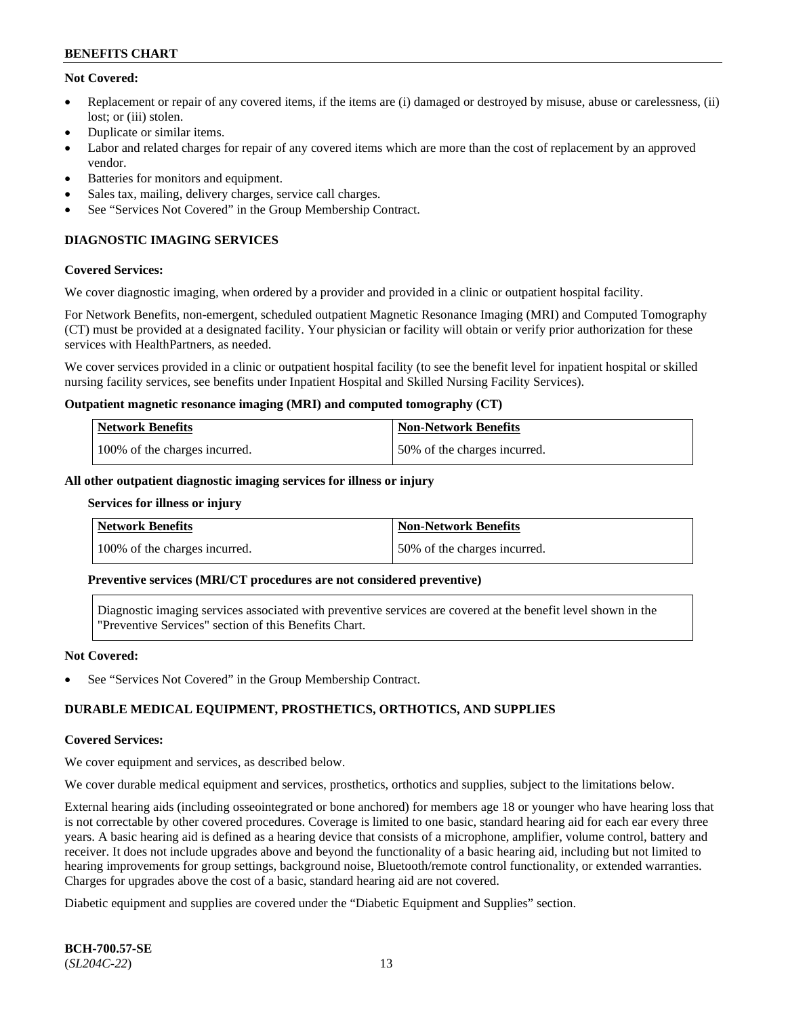### **Not Covered:**

- Replacement or repair of any covered items, if the items are (i) damaged or destroyed by misuse, abuse or carelessness, (ii) lost: or (iii) stolen.
- Duplicate or similar items.
- Labor and related charges for repair of any covered items which are more than the cost of replacement by an approved vendor.
- Batteries for monitors and equipment.
- Sales tax, mailing, delivery charges, service call charges.
- See "Services Not Covered" in the Group Membership Contract.

## **DIAGNOSTIC IMAGING SERVICES**

#### **Covered Services:**

We cover diagnostic imaging, when ordered by a provider and provided in a clinic or outpatient hospital facility.

For Network Benefits, non-emergent, scheduled outpatient Magnetic Resonance Imaging (MRI) and Computed Tomography (CT) must be provided at a designated facility. Your physician or facility will obtain or verify prior authorization for these services with HealthPartners, as needed.

We cover services provided in a clinic or outpatient hospital facility (to see the benefit level for inpatient hospital or skilled nursing facility services, see benefits under Inpatient Hospital and Skilled Nursing Facility Services).

#### **Outpatient magnetic resonance imaging (MRI) and computed tomography (CT)**

| Network Benefits              | <b>Non-Network Benefits</b>  |
|-------------------------------|------------------------------|
| 100% of the charges incurred. | 50% of the charges incurred. |

#### **All other outpatient diagnostic imaging services for illness or injury**

#### **Services for illness or injury**

| Network Benefits              | Non-Network Benefits         |
|-------------------------------|------------------------------|
| 100% of the charges incurred. | 50% of the charges incurred. |

#### **Preventive services (MRI/CT procedures are not considered preventive)**

Diagnostic imaging services associated with preventive services are covered at the benefit level shown in the "Preventive Services" section of this Benefits Chart.

#### **Not Covered:**

See "Services Not Covered" in the Group Membership Contract.

### **DURABLE MEDICAL EQUIPMENT, PROSTHETICS, ORTHOTICS, AND SUPPLIES**

#### **Covered Services:**

We cover equipment and services, as described below.

We cover durable medical equipment and services, prosthetics, orthotics and supplies, subject to the limitations below.

External hearing aids (including osseointegrated or bone anchored) for members age 18 or younger who have hearing loss that is not correctable by other covered procedures. Coverage is limited to one basic, standard hearing aid for each ear every three years. A basic hearing aid is defined as a hearing device that consists of a microphone, amplifier, volume control, battery and receiver. It does not include upgrades above and beyond the functionality of a basic hearing aid, including but not limited to hearing improvements for group settings, background noise, Bluetooth/remote control functionality, or extended warranties. Charges for upgrades above the cost of a basic, standard hearing aid are not covered.

Diabetic equipment and supplies are covered under the "Diabetic Equipment and Supplies" section.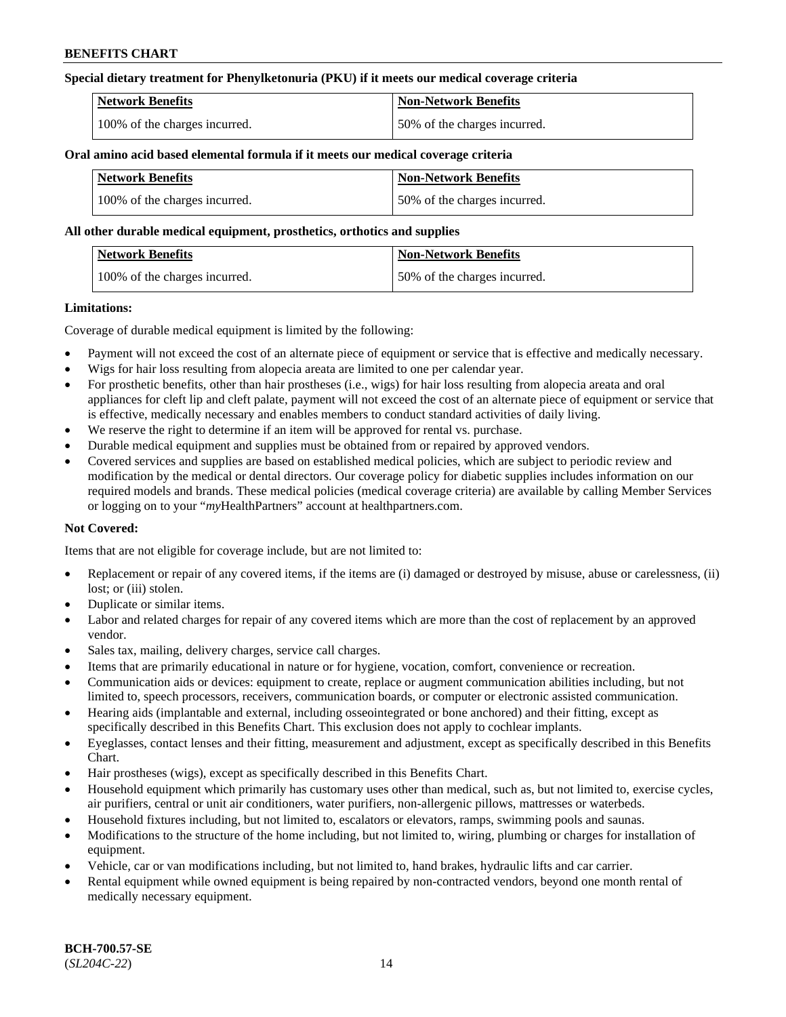### **Special dietary treatment for Phenylketonuria (PKU) if it meets our medical coverage criteria**

| <b>Network Benefits</b>       | <b>Non-Network Benefits</b>  |
|-------------------------------|------------------------------|
| 100% of the charges incurred. | 50% of the charges incurred. |

#### **Oral amino acid based elemental formula if it meets our medical coverage criteria**

| <b>Network Benefits</b>       | <b>Non-Network Benefits</b>  |
|-------------------------------|------------------------------|
| 100% of the charges incurred. | 50% of the charges incurred. |

#### **All other durable medical equipment, prosthetics, orthotics and supplies**

| <b>Network Benefits</b>       | Non-Network Benefits         |
|-------------------------------|------------------------------|
| 100% of the charges incurred. | 50% of the charges incurred. |

#### **Limitations:**

Coverage of durable medical equipment is limited by the following:

- Payment will not exceed the cost of an alternate piece of equipment or service that is effective and medically necessary.
- Wigs for hair loss resulting from alopecia areata are limited to one per calendar year.
- For prosthetic benefits, other than hair prostheses (i.e., wigs) for hair loss resulting from alopecia areata and oral appliances for cleft lip and cleft palate, payment will not exceed the cost of an alternate piece of equipment or service that is effective, medically necessary and enables members to conduct standard activities of daily living.
- We reserve the right to determine if an item will be approved for rental vs. purchase.
- Durable medical equipment and supplies must be obtained from or repaired by approved vendors.
- Covered services and supplies are based on established medical policies, which are subject to periodic review and modification by the medical or dental directors. Our coverage policy for diabetic supplies includes information on our required models and brands. These medical policies (medical coverage criteria) are available by calling Member Services or logging on to your "*my*HealthPartners" account a[t healthpartners.com.](https://www.healthpartners.com/hp/index.html)

### **Not Covered:**

Items that are not eligible for coverage include, but are not limited to:

- Replacement or repair of any covered items, if the items are (i) damaged or destroyed by misuse, abuse or carelessness, (ii) lost; or (iii) stolen.
- Duplicate or similar items.
- Labor and related charges for repair of any covered items which are more than the cost of replacement by an approved vendor.
- Sales tax, mailing, delivery charges, service call charges.
- Items that are primarily educational in nature or for hygiene, vocation, comfort, convenience or recreation.
- Communication aids or devices: equipment to create, replace or augment communication abilities including, but not limited to, speech processors, receivers, communication boards, or computer or electronic assisted communication.
- Hearing aids (implantable and external, including osseointegrated or bone anchored) and their fitting, except as specifically described in this Benefits Chart. This exclusion does not apply to cochlear implants.
- Eyeglasses, contact lenses and their fitting, measurement and adjustment, except as specifically described in this Benefits Chart.
- Hair prostheses (wigs), except as specifically described in this Benefits Chart.
- Household equipment which primarily has customary uses other than medical, such as, but not limited to, exercise cycles, air purifiers, central or unit air conditioners, water purifiers, non-allergenic pillows, mattresses or waterbeds.
- Household fixtures including, but not limited to, escalators or elevators, ramps, swimming pools and saunas.
- Modifications to the structure of the home including, but not limited to, wiring, plumbing or charges for installation of equipment.
- Vehicle, car or van modifications including, but not limited to, hand brakes, hydraulic lifts and car carrier.
- Rental equipment while owned equipment is being repaired by non-contracted vendors, beyond one month rental of medically necessary equipment.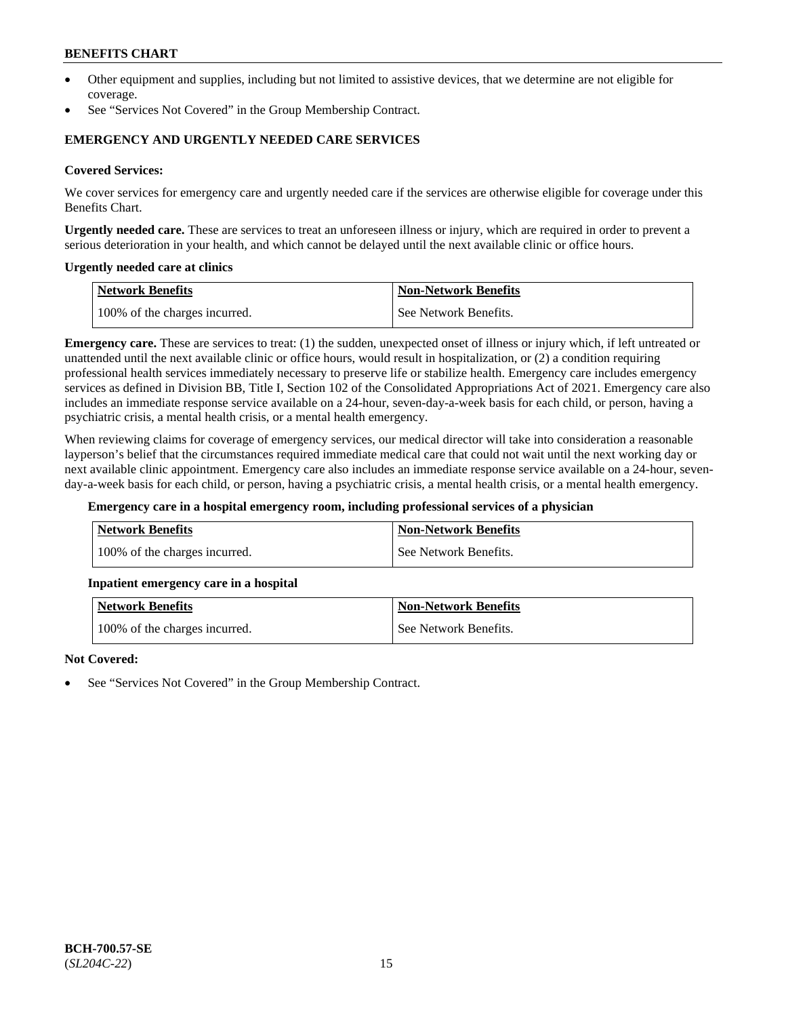- Other equipment and supplies, including but not limited to assistive devices, that we determine are not eligible for coverage.
- See "Services Not Covered" in the Group Membership Contract.

### **EMERGENCY AND URGENTLY NEEDED CARE SERVICES**

#### **Covered Services:**

We cover services for emergency care and urgently needed care if the services are otherwise eligible for coverage under this Benefits Chart.

**Urgently needed care.** These are services to treat an unforeseen illness or injury, which are required in order to prevent a serious deterioration in your health, and which cannot be delayed until the next available clinic or office hours.

#### **Urgently needed care at clinics**

| Network Benefits              | <b>Non-Network Benefits</b> |
|-------------------------------|-----------------------------|
| 100% of the charges incurred. | See Network Benefits.       |

**Emergency care.** These are services to treat: (1) the sudden, unexpected onset of illness or injury which, if left untreated or unattended until the next available clinic or office hours, would result in hospitalization, or (2) a condition requiring professional health services immediately necessary to preserve life or stabilize health. Emergency care includes emergency services as defined in Division BB, Title I, Section 102 of the Consolidated Appropriations Act of 2021. Emergency care also includes an immediate response service available on a 24-hour, seven-day-a-week basis for each child, or person, having a psychiatric crisis, a mental health crisis, or a mental health emergency.

When reviewing claims for coverage of emergency services, our medical director will take into consideration a reasonable layperson's belief that the circumstances required immediate medical care that could not wait until the next working day or next available clinic appointment. Emergency care also includes an immediate response service available on a 24-hour, sevenday-a-week basis for each child, or person, having a psychiatric crisis, a mental health crisis, or a mental health emergency.

#### **Emergency care in a hospital emergency room, including professional services of a physician**

| Network Benefits              | <b>Non-Network Benefits</b> |
|-------------------------------|-----------------------------|
| 100% of the charges incurred. | See Network Benefits.       |

#### **Inpatient emergency care in a hospital**

| <b>Network Benefits</b>       | <b>Non-Network Benefits</b> |
|-------------------------------|-----------------------------|
| 100% of the charges incurred. | See Network Benefits.       |

#### **Not Covered:**

See "Services Not Covered" in the Group Membership Contract.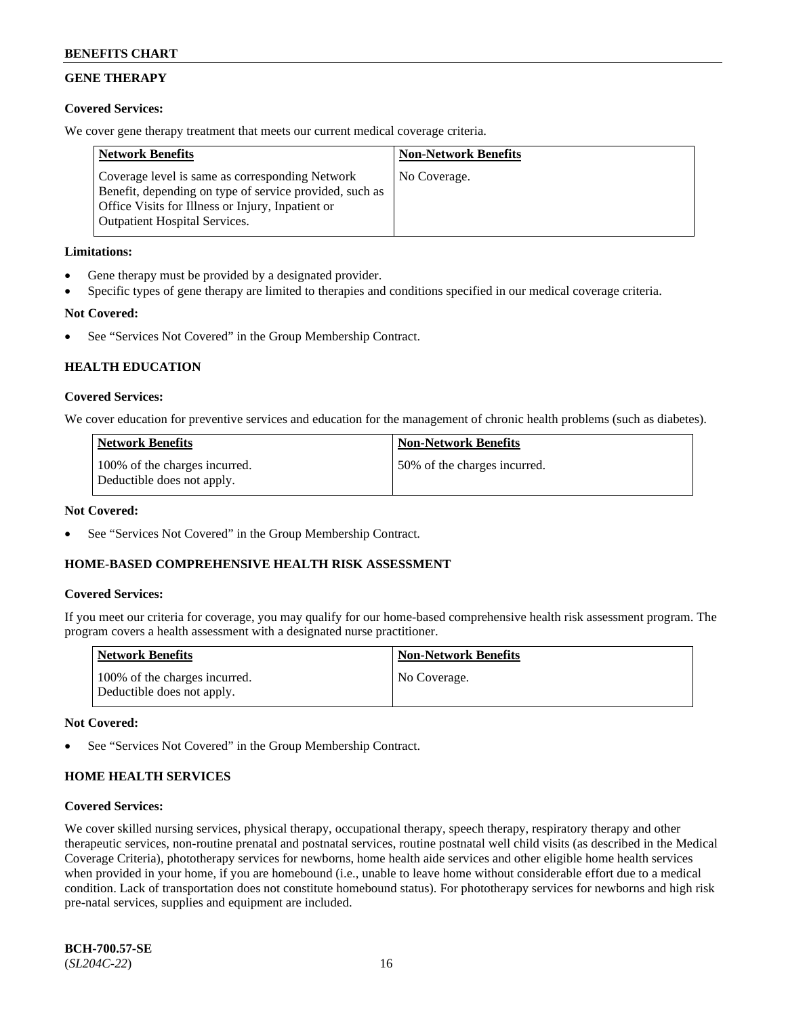## **GENE THERAPY**

### **Covered Services:**

We cover gene therapy treatment that meets our current medical coverage criteria.

| <b>Network Benefits</b>                                                                                                                                                                                 | <b>Non-Network Benefits</b> |
|---------------------------------------------------------------------------------------------------------------------------------------------------------------------------------------------------------|-----------------------------|
| Coverage level is same as corresponding Network<br>Benefit, depending on type of service provided, such as<br>Office Visits for Illness or Injury, Inpatient or<br><b>Outpatient Hospital Services.</b> | No Coverage.                |

### **Limitations:**

- Gene therapy must be provided by a designated provider.
- Specific types of gene therapy are limited to therapies and conditions specified in our medical coverage criteria.

### **Not Covered:**

See "Services Not Covered" in the Group Membership Contract.

### **HEALTH EDUCATION**

#### **Covered Services:**

We cover education for preventive services and education for the management of chronic health problems (such as diabetes).

| <b>Network Benefits</b>                                     | <b>Non-Network Benefits</b>  |
|-------------------------------------------------------------|------------------------------|
| 100% of the charges incurred.<br>Deductible does not apply. | 50% of the charges incurred. |

#### **Not Covered:**

See "Services Not Covered" in the Group Membership Contract.

### **HOME-BASED COMPREHENSIVE HEALTH RISK ASSESSMENT**

#### **Covered Services:**

If you meet our criteria for coverage, you may qualify for our home-based comprehensive health risk assessment program. The program covers a health assessment with a designated nurse practitioner.

| <b>Network Benefits</b>                                     | <b>Non-Network Benefits</b> |
|-------------------------------------------------------------|-----------------------------|
| 100% of the charges incurred.<br>Deductible does not apply. | No Coverage.                |

#### **Not Covered:**

See "Services Not Covered" in the Group Membership Contract.

## **HOME HEALTH SERVICES**

#### **Covered Services:**

We cover skilled nursing services, physical therapy, occupational therapy, speech therapy, respiratory therapy and other therapeutic services, non-routine prenatal and postnatal services, routine postnatal well child visits (as described in the Medical Coverage Criteria), phototherapy services for newborns, home health aide services and other eligible home health services when provided in your home, if you are homebound (i.e., unable to leave home without considerable effort due to a medical condition. Lack of transportation does not constitute homebound status). For phototherapy services for newborns and high risk pre-natal services, supplies and equipment are included.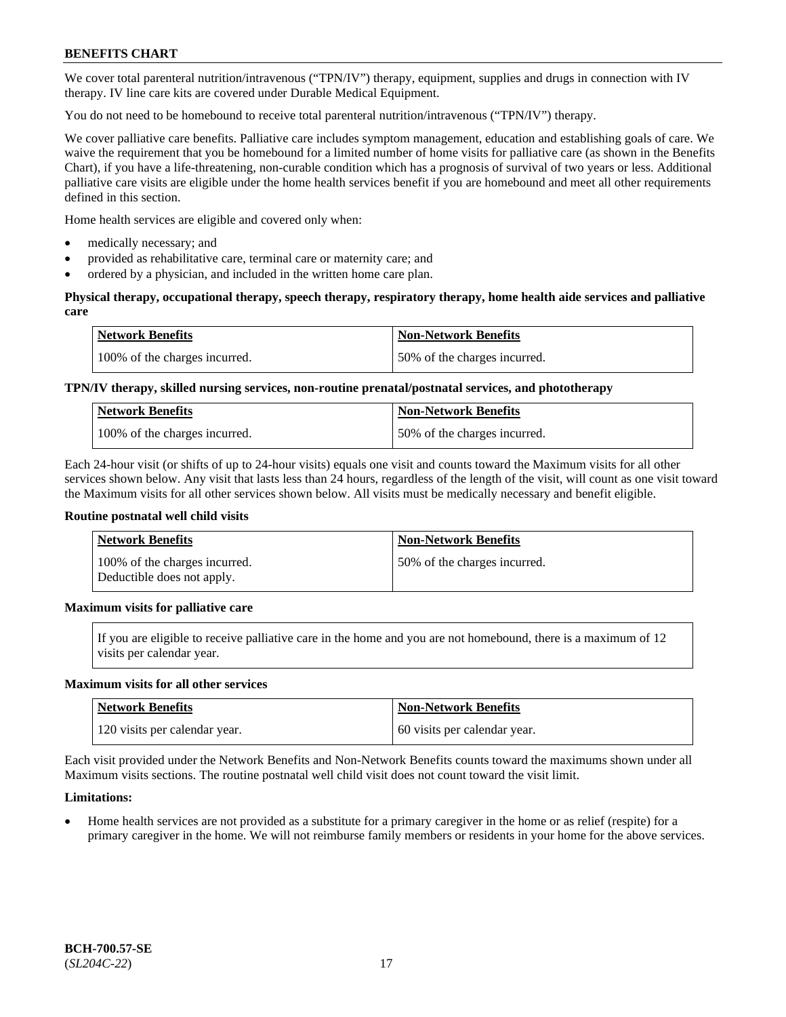We cover total parenteral nutrition/intravenous ("TPN/IV") therapy, equipment, supplies and drugs in connection with IV therapy. IV line care kits are covered under Durable Medical Equipment.

You do not need to be homebound to receive total parenteral nutrition/intravenous ("TPN/IV") therapy.

We cover palliative care benefits. Palliative care includes symptom management, education and establishing goals of care. We waive the requirement that you be homebound for a limited number of home visits for palliative care (as shown in the Benefits Chart), if you have a life-threatening, non-curable condition which has a prognosis of survival of two years or less. Additional palliative care visits are eligible under the home health services benefit if you are homebound and meet all other requirements defined in this section.

Home health services are eligible and covered only when:

- medically necessary; and
- provided as rehabilitative care, terminal care or maternity care; and
- ordered by a physician, and included in the written home care plan.

### **Physical therapy, occupational therapy, speech therapy, respiratory therapy, home health aide services and palliative care**

| <b>Network Benefits</b>       | <b>Non-Network Benefits</b>  |
|-------------------------------|------------------------------|
| 100% of the charges incurred. | 50% of the charges incurred. |

## **TPN/IV therapy, skilled nursing services, non-routine prenatal/postnatal services, and phototherapy**

| <b>Network Benefits</b>       | <b>Non-Network Benefits</b>  |
|-------------------------------|------------------------------|
| 100% of the charges incurred. | 50% of the charges incurred. |

Each 24-hour visit (or shifts of up to 24-hour visits) equals one visit and counts toward the Maximum visits for all other services shown below. Any visit that lasts less than 24 hours, regardless of the length of the visit, will count as one visit toward the Maximum visits for all other services shown below. All visits must be medically necessary and benefit eligible.

#### **Routine postnatal well child visits**

| <b>Network Benefits</b>                                     | <b>Non-Network Benefits</b>  |
|-------------------------------------------------------------|------------------------------|
| 100% of the charges incurred.<br>Deductible does not apply. | 50% of the charges incurred. |

### **Maximum visits for palliative care**

If you are eligible to receive palliative care in the home and you are not homebound, there is a maximum of 12 visits per calendar year.

#### **Maximum visits for all other services**

| <b>Network Benefits</b>       | <b>Non-Network Benefits</b>  |
|-------------------------------|------------------------------|
| 120 visits per calendar year. | 60 visits per calendar year. |

Each visit provided under the Network Benefits and Non-Network Benefits counts toward the maximums shown under all Maximum visits sections. The routine postnatal well child visit does not count toward the visit limit.

### **Limitations:**

• Home health services are not provided as a substitute for a primary caregiver in the home or as relief (respite) for a primary caregiver in the home. We will not reimburse family members or residents in your home for the above services.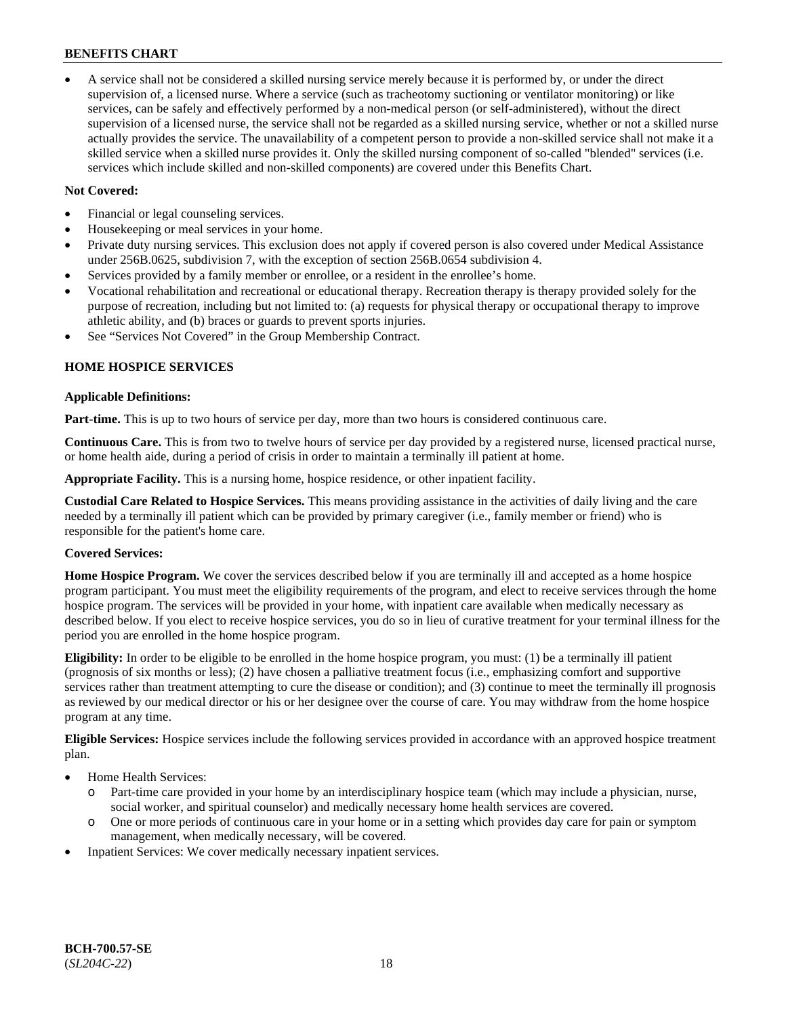• A service shall not be considered a skilled nursing service merely because it is performed by, or under the direct supervision of, a licensed nurse. Where a service (such as tracheotomy suctioning or ventilator monitoring) or like services, can be safely and effectively performed by a non-medical person (or self-administered), without the direct supervision of a licensed nurse, the service shall not be regarded as a skilled nursing service, whether or not a skilled nurse actually provides the service. The unavailability of a competent person to provide a non-skilled service shall not make it a skilled service when a skilled nurse provides it. Only the skilled nursing component of so-called "blended" services (i.e. services which include skilled and non-skilled components) are covered under this Benefits Chart.

### **Not Covered:**

- Financial or legal counseling services.
- Housekeeping or meal services in your home.
- Private duty nursing services. This exclusion does not apply if covered person is also covered under Medical Assistance under 256B.0625, subdivision 7, with the exception of section 256B.0654 subdivision 4.
- Services provided by a family member or enrollee, or a resident in the enrollee's home.
- Vocational rehabilitation and recreational or educational therapy. Recreation therapy is therapy provided solely for the purpose of recreation, including but not limited to: (a) requests for physical therapy or occupational therapy to improve athletic ability, and (b) braces or guards to prevent sports injuries.
- See "Services Not Covered" in the Group Membership Contract.

### **HOME HOSPICE SERVICES**

#### **Applicable Definitions:**

**Part-time.** This is up to two hours of service per day, more than two hours is considered continuous care.

**Continuous Care.** This is from two to twelve hours of service per day provided by a registered nurse, licensed practical nurse, or home health aide, during a period of crisis in order to maintain a terminally ill patient at home.

**Appropriate Facility.** This is a nursing home, hospice residence, or other inpatient facility.

**Custodial Care Related to Hospice Services.** This means providing assistance in the activities of daily living and the care needed by a terminally ill patient which can be provided by primary caregiver (i.e., family member or friend) who is responsible for the patient's home care.

### **Covered Services:**

**Home Hospice Program.** We cover the services described below if you are terminally ill and accepted as a home hospice program participant. You must meet the eligibility requirements of the program, and elect to receive services through the home hospice program. The services will be provided in your home, with inpatient care available when medically necessary as described below. If you elect to receive hospice services, you do so in lieu of curative treatment for your terminal illness for the period you are enrolled in the home hospice program.

**Eligibility:** In order to be eligible to be enrolled in the home hospice program, you must: (1) be a terminally ill patient (prognosis of six months or less); (2) have chosen a palliative treatment focus (i.e., emphasizing comfort and supportive services rather than treatment attempting to cure the disease or condition); and (3) continue to meet the terminally ill prognosis as reviewed by our medical director or his or her designee over the course of care. You may withdraw from the home hospice program at any time.

**Eligible Services:** Hospice services include the following services provided in accordance with an approved hospice treatment plan.

- Home Health Services:
	- o Part-time care provided in your home by an interdisciplinary hospice team (which may include a physician, nurse, social worker, and spiritual counselor) and medically necessary home health services are covered.
	- o One or more periods of continuous care in your home or in a setting which provides day care for pain or symptom management, when medically necessary, will be covered.
- Inpatient Services: We cover medically necessary inpatient services.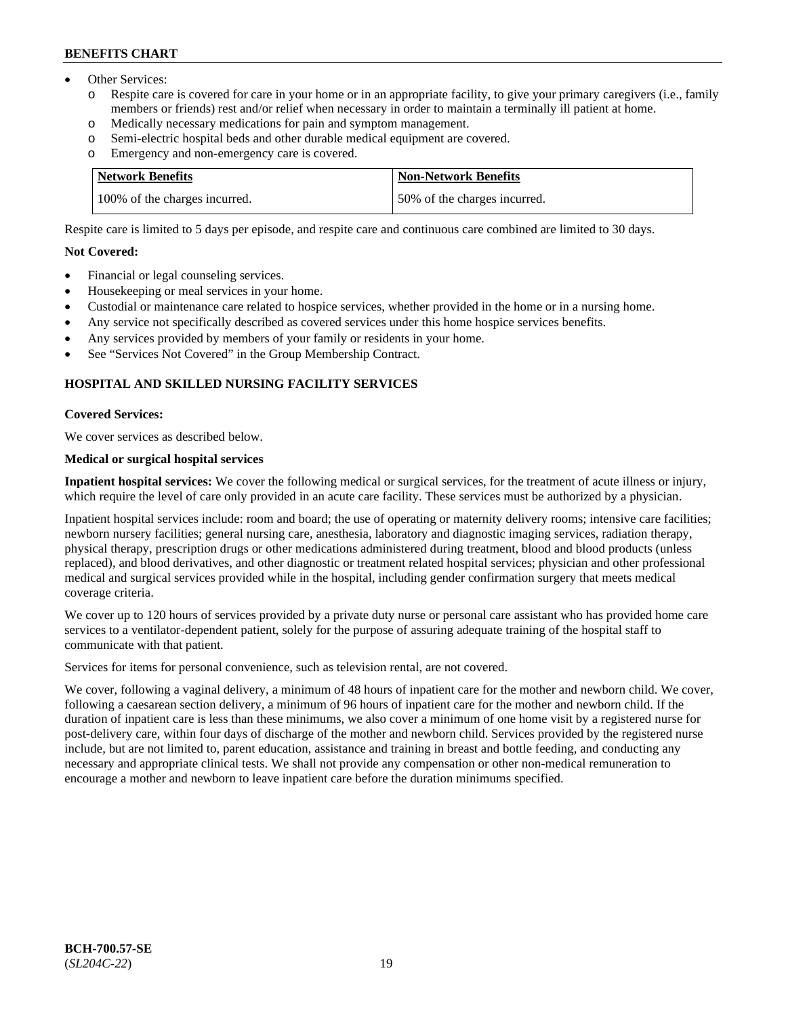- Other Services:
	- Respite care is covered for care in your home or in an appropriate facility, to give your primary caregivers (i.e., family members or friends) rest and/or relief when necessary in order to maintain a terminally ill patient at home.
	- o Medically necessary medications for pain and symptom management.
	- o Semi-electric hospital beds and other durable medical equipment are covered.
	- Emergency and non-emergency care is covered.

| Network Benefits              | Non-Network Benefits         |
|-------------------------------|------------------------------|
| 100% of the charges incurred. | 50% of the charges incurred. |

Respite care is limited to 5 days per episode, and respite care and continuous care combined are limited to 30 days.

#### **Not Covered:**

- Financial or legal counseling services.
- Housekeeping or meal services in your home.
- Custodial or maintenance care related to hospice services, whether provided in the home or in a nursing home.
- Any service not specifically described as covered services under this home hospice services benefits.
- Any services provided by members of your family or residents in your home.
- See "Services Not Covered" in the Group Membership Contract.

### **HOSPITAL AND SKILLED NURSING FACILITY SERVICES**

#### **Covered Services:**

We cover services as described below.

## **Medical or surgical hospital services**

**Inpatient hospital services:** We cover the following medical or surgical services, for the treatment of acute illness or injury, which require the level of care only provided in an acute care facility. These services must be authorized by a physician.

Inpatient hospital services include: room and board; the use of operating or maternity delivery rooms; intensive care facilities; newborn nursery facilities; general nursing care, anesthesia, laboratory and diagnostic imaging services, radiation therapy, physical therapy, prescription drugs or other medications administered during treatment, blood and blood products (unless replaced), and blood derivatives, and other diagnostic or treatment related hospital services; physician and other professional medical and surgical services provided while in the hospital, including gender confirmation surgery that meets medical coverage criteria.

We cover up to 120 hours of services provided by a private duty nurse or personal care assistant who has provided home care services to a ventilator-dependent patient, solely for the purpose of assuring adequate training of the hospital staff to communicate with that patient.

Services for items for personal convenience, such as television rental, are not covered.

We cover, following a vaginal delivery, a minimum of 48 hours of inpatient care for the mother and newborn child. We cover, following a caesarean section delivery, a minimum of 96 hours of inpatient care for the mother and newborn child. If the duration of inpatient care is less than these minimums, we also cover a minimum of one home visit by a registered nurse for post-delivery care, within four days of discharge of the mother and newborn child. Services provided by the registered nurse include, but are not limited to, parent education, assistance and training in breast and bottle feeding, and conducting any necessary and appropriate clinical tests. We shall not provide any compensation or other non-medical remuneration to encourage a mother and newborn to leave inpatient care before the duration minimums specified.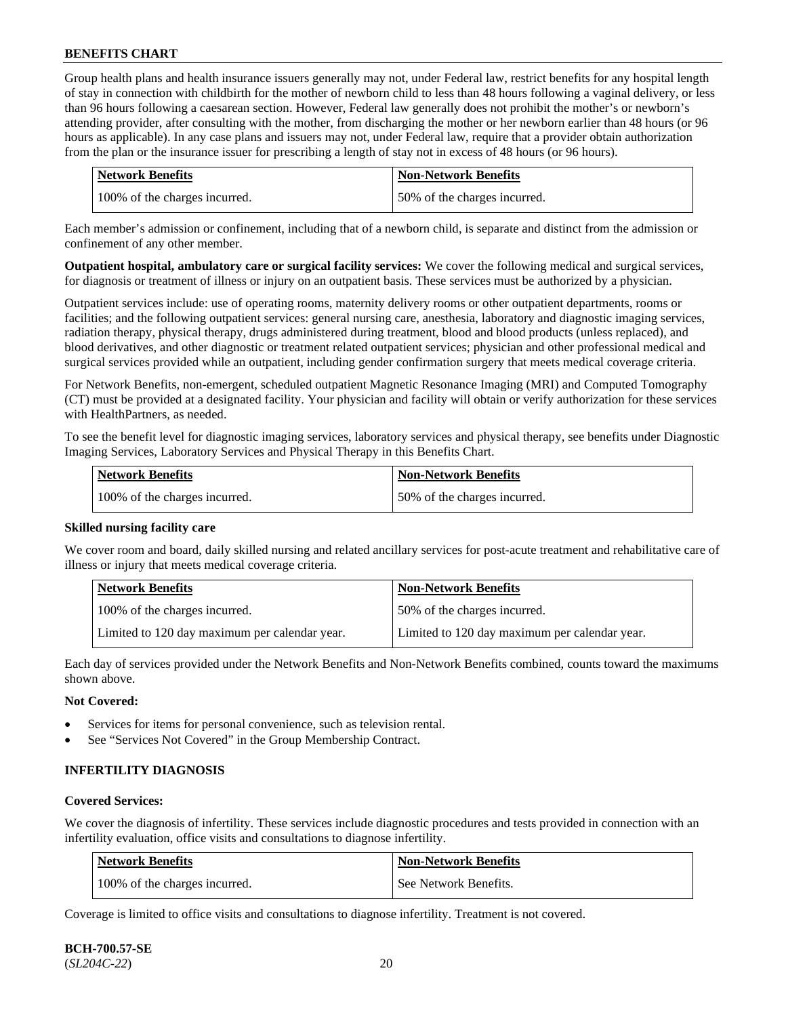Group health plans and health insurance issuers generally may not, under Federal law, restrict benefits for any hospital length of stay in connection with childbirth for the mother of newborn child to less than 48 hours following a vaginal delivery, or less than 96 hours following a caesarean section. However, Federal law generally does not prohibit the mother's or newborn's attending provider, after consulting with the mother, from discharging the mother or her newborn earlier than 48 hours (or 96 hours as applicable). In any case plans and issuers may not, under Federal law, require that a provider obtain authorization from the plan or the insurance issuer for prescribing a length of stay not in excess of 48 hours (or 96 hours).

| Network Benefits              | <b>Non-Network Benefits</b>  |
|-------------------------------|------------------------------|
| 100% of the charges incurred. | 50% of the charges incurred. |

Each member's admission or confinement, including that of a newborn child, is separate and distinct from the admission or confinement of any other member.

**Outpatient hospital, ambulatory care or surgical facility services:** We cover the following medical and surgical services, for diagnosis or treatment of illness or injury on an outpatient basis. These services must be authorized by a physician.

Outpatient services include: use of operating rooms, maternity delivery rooms or other outpatient departments, rooms or facilities; and the following outpatient services: general nursing care, anesthesia, laboratory and diagnostic imaging services, radiation therapy, physical therapy, drugs administered during treatment, blood and blood products (unless replaced), and blood derivatives, and other diagnostic or treatment related outpatient services; physician and other professional medical and surgical services provided while an outpatient, including gender confirmation surgery that meets medical coverage criteria.

For Network Benefits, non-emergent, scheduled outpatient Magnetic Resonance Imaging (MRI) and Computed Tomography (CT) must be provided at a designated facility. Your physician and facility will obtain or verify authorization for these services with HealthPartners, as needed.

To see the benefit level for diagnostic imaging services, laboratory services and physical therapy, see benefits under Diagnostic Imaging Services, Laboratory Services and Physical Therapy in this Benefits Chart.

| <b>Network Benefits</b>       | <b>Non-Network Benefits</b>   |
|-------------------------------|-------------------------------|
| 100% of the charges incurred. | 150% of the charges incurred. |

### **Skilled nursing facility care**

We cover room and board, daily skilled nursing and related ancillary services for post-acute treatment and rehabilitative care of illness or injury that meets medical coverage criteria.

| Network Benefits                              | <b>Non-Network Benefits</b>                   |
|-----------------------------------------------|-----------------------------------------------|
| 100\% of the charges incurred.                | 50% of the charges incurred.                  |
| Limited to 120 day maximum per calendar year. | Limited to 120 day maximum per calendar year. |

Each day of services provided under the Network Benefits and Non-Network Benefits combined, counts toward the maximums shown above.

### **Not Covered:**

- Services for items for personal convenience, such as television rental.
- See "Services Not Covered" in the Group Membership Contract.

### **INFERTILITY DIAGNOSIS**

#### **Covered Services:**

We cover the diagnosis of infertility. These services include diagnostic procedures and tests provided in connection with an infertility evaluation, office visits and consultations to diagnose infertility.

| Network Benefits              | <b>Non-Network Benefits</b> |
|-------------------------------|-----------------------------|
| 100% of the charges incurred. | See Network Benefits.       |

Coverage is limited to office visits and consultations to diagnose infertility. Treatment is not covered.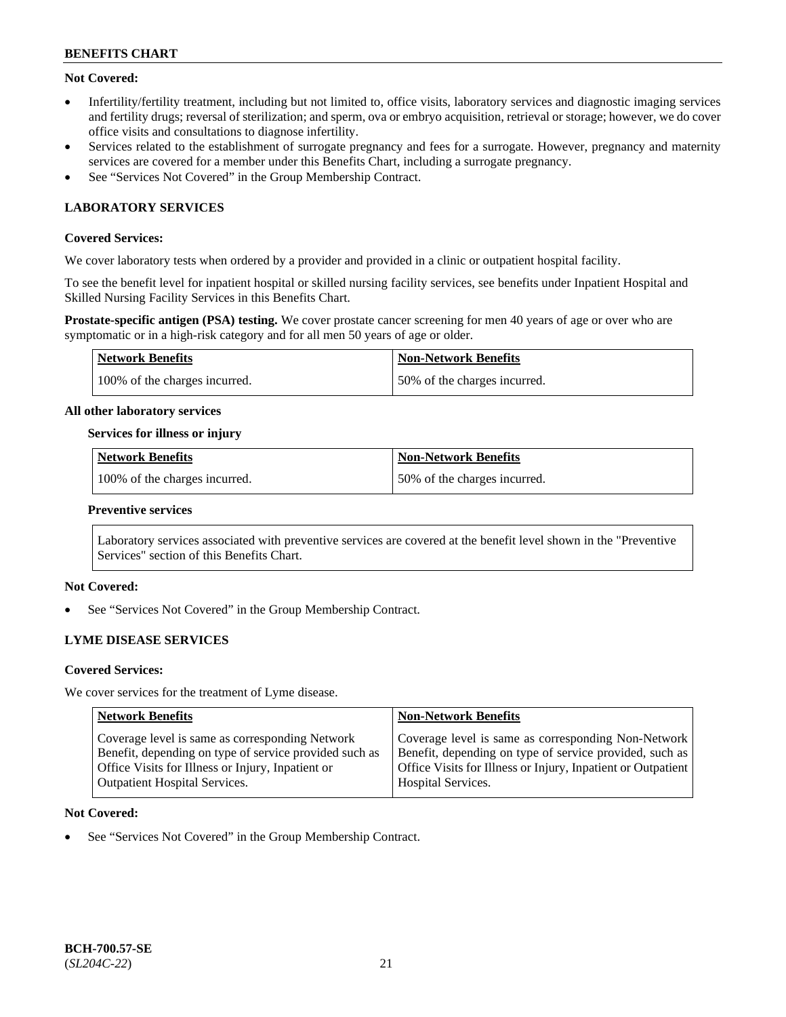### **Not Covered:**

- Infertility/fertility treatment, including but not limited to, office visits, laboratory services and diagnostic imaging services and fertility drugs; reversal of sterilization; and sperm, ova or embryo acquisition, retrieval or storage; however, we do cover office visits and consultations to diagnose infertility.
- Services related to the establishment of surrogate pregnancy and fees for a surrogate. However, pregnancy and maternity services are covered for a member under this Benefits Chart, including a surrogate pregnancy.
- See "Services Not Covered" in the Group Membership Contract.

## **LABORATORY SERVICES**

### **Covered Services:**

We cover laboratory tests when ordered by a provider and provided in a clinic or outpatient hospital facility.

To see the benefit level for inpatient hospital or skilled nursing facility services, see benefits under Inpatient Hospital and Skilled Nursing Facility Services in this Benefits Chart.

**Prostate-specific antigen (PSA) testing.** We cover prostate cancer screening for men 40 years of age or over who are symptomatic or in a high-risk category and for all men 50 years of age or older.

| Network Benefits              | Non-Network Benefits         |
|-------------------------------|------------------------------|
| 100% of the charges incurred. | 50% of the charges incurred. |

#### **All other laboratory services**

#### **Services for illness or injury**

| Network Benefits              | <b>Non-Network Benefits</b>  |
|-------------------------------|------------------------------|
| 100% of the charges incurred. | 50% of the charges incurred. |

#### **Preventive services**

Laboratory services associated with preventive services are covered at the benefit level shown in the "Preventive Services" section of this Benefits Chart.

### **Not Covered:**

See "Services Not Covered" in the Group Membership Contract.

### **LYME DISEASE SERVICES**

#### **Covered Services:**

We cover services for the treatment of Lyme disease.

| <b>Network Benefits</b>                                | <b>Non-Network Benefits</b>                                  |
|--------------------------------------------------------|--------------------------------------------------------------|
| Coverage level is same as corresponding Network        | Coverage level is same as corresponding Non-Network          |
| Benefit, depending on type of service provided such as | Benefit, depending on type of service provided, such as      |
| Office Visits for Illness or Injury, Inpatient or      | Office Visits for Illness or Injury, Inpatient or Outpatient |
| <b>Outpatient Hospital Services.</b>                   | <b>Hospital Services.</b>                                    |

#### **Not Covered:**

See "Services Not Covered" in the Group Membership Contract.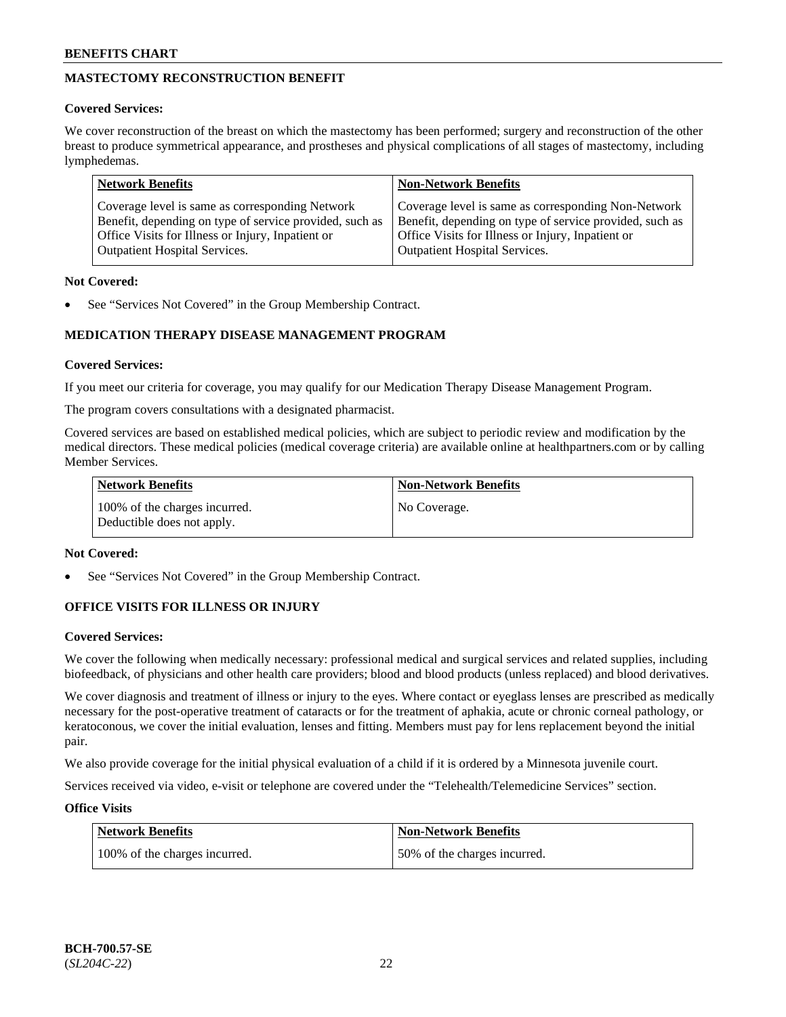## **MASTECTOMY RECONSTRUCTION BENEFIT**

### **Covered Services:**

We cover reconstruction of the breast on which the mastectomy has been performed; surgery and reconstruction of the other breast to produce symmetrical appearance, and prostheses and physical complications of all stages of mastectomy, including lymphedemas.

| <b>Network Benefits</b>                                 | <b>Non-Network Benefits</b>                             |
|---------------------------------------------------------|---------------------------------------------------------|
| Coverage level is same as corresponding Network         | Coverage level is same as corresponding Non-Network     |
| Benefit, depending on type of service provided, such as | Benefit, depending on type of service provided, such as |
| Office Visits for Illness or Injury, Inpatient or       | Office Visits for Illness or Injury, Inpatient or       |
| <b>Outpatient Hospital Services.</b>                    | <b>Outpatient Hospital Services.</b>                    |

### **Not Covered:**

See "Services Not Covered" in the Group Membership Contract.

## **MEDICATION THERAPY DISEASE MANAGEMENT PROGRAM**

### **Covered Services:**

If you meet our criteria for coverage, you may qualify for our Medication Therapy Disease Management Program.

The program covers consultations with a designated pharmacist.

Covered services are based on established medical policies, which are subject to periodic review and modification by the medical directors. These medical policies (medical coverage criteria) are available online at [healthpartners.com](https://www.healthpartners.com/hp/index.html) or by calling Member Services.

| Network Benefits                                            | <b>Non-Network Benefits</b> |
|-------------------------------------------------------------|-----------------------------|
| 100% of the charges incurred.<br>Deductible does not apply. | No Coverage.                |

### **Not Covered:**

See "Services Not Covered" in the Group Membership Contract.

## **OFFICE VISITS FOR ILLNESS OR INJURY**

### **Covered Services:**

We cover the following when medically necessary: professional medical and surgical services and related supplies, including biofeedback, of physicians and other health care providers; blood and blood products (unless replaced) and blood derivatives.

We cover diagnosis and treatment of illness or injury to the eyes. Where contact or eyeglass lenses are prescribed as medically necessary for the post-operative treatment of cataracts or for the treatment of aphakia, acute or chronic corneal pathology, or keratoconous, we cover the initial evaluation, lenses and fitting. Members must pay for lens replacement beyond the initial pair.

We also provide coverage for the initial physical evaluation of a child if it is ordered by a Minnesota juvenile court.

Services received via video, e-visit or telephone are covered under the "Telehealth/Telemedicine Services" section.

### **Office Visits**

| Network Benefits              | <b>Non-Network Benefits</b>  |
|-------------------------------|------------------------------|
| 100% of the charges incurred. | 50% of the charges incurred. |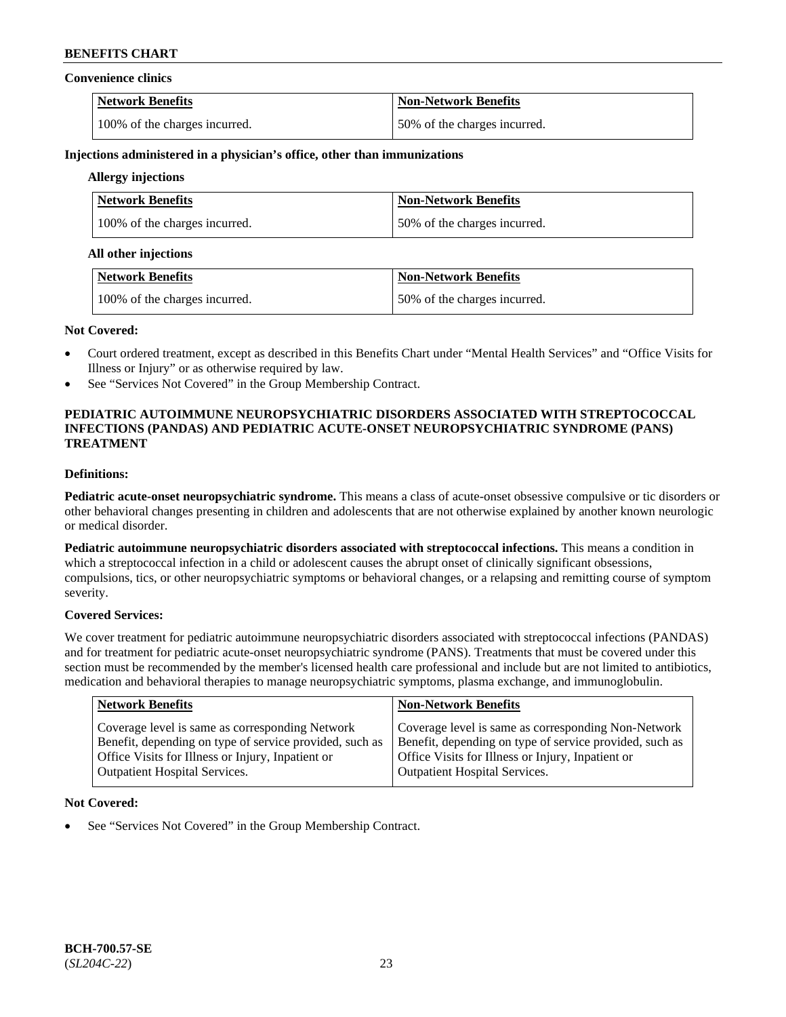#### **Convenience clinics**

| <b>Network Benefits</b>       | <b>Non-Network Benefits</b>  |
|-------------------------------|------------------------------|
| 100% of the charges incurred. | 50% of the charges incurred. |

#### **Injections administered in a physician's office, other than immunizations**

## **Allergy injections**

| Network Benefits              | <b>Non-Network Benefits</b>  |
|-------------------------------|------------------------------|
| 100% of the charges incurred. | 50% of the charges incurred. |

#### **All other injections**

| Network Benefits              | <b>Non-Network Benefits</b>  |
|-------------------------------|------------------------------|
| 100% of the charges incurred. | 50% of the charges incurred. |

#### **Not Covered:**

- Court ordered treatment, except as described in this Benefits Chart under "Mental Health Services" and "Office Visits for Illness or Injury" or as otherwise required by law.
- See "Services Not Covered" in the Group Membership Contract.

### **PEDIATRIC AUTOIMMUNE NEUROPSYCHIATRIC DISORDERS ASSOCIATED WITH STREPTOCOCCAL INFECTIONS (PANDAS) AND PEDIATRIC ACUTE-ONSET NEUROPSYCHIATRIC SYNDROME (PANS) TREATMENT**

## **Definitions:**

**Pediatric acute-onset neuropsychiatric syndrome.** This means a class of acute-onset obsessive compulsive or tic disorders or other behavioral changes presenting in children and adolescents that are not otherwise explained by another known neurologic or medical disorder.

**Pediatric autoimmune neuropsychiatric disorders associated with streptococcal infections.** This means a condition in which a streptococcal infection in a child or adolescent causes the abrupt onset of clinically significant obsessions, compulsions, tics, or other neuropsychiatric symptoms or behavioral changes, or a relapsing and remitting course of symptom severity.

### **Covered Services:**

We cover treatment for pediatric autoimmune neuropsychiatric disorders associated with streptococcal infections (PANDAS) and for treatment for pediatric acute-onset neuropsychiatric syndrome (PANS). Treatments that must be covered under this section must be recommended by the member's licensed health care professional and include but are not limited to antibiotics, medication and behavioral therapies to manage neuropsychiatric symptoms, plasma exchange, and immunoglobulin.

| <b>Network Benefits</b>                                 | <b>Non-Network Benefits</b>                             |
|---------------------------------------------------------|---------------------------------------------------------|
| Coverage level is same as corresponding Network         | Coverage level is same as corresponding Non-Network     |
| Benefit, depending on type of service provided, such as | Benefit, depending on type of service provided, such as |
| Office Visits for Illness or Injury, Inpatient or       | Office Visits for Illness or Injury, Inpatient or       |
| <b>Outpatient Hospital Services.</b>                    | Outpatient Hospital Services.                           |

### **Not Covered:**

See "Services Not Covered" in the Group Membership Contract.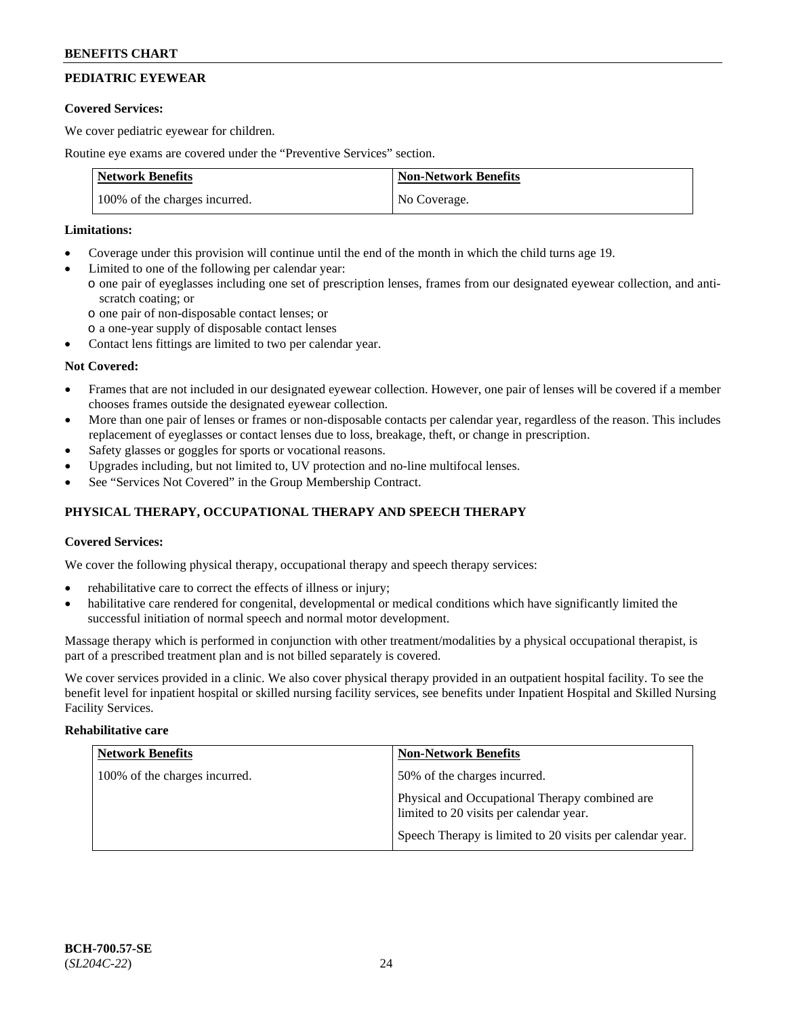## **PEDIATRIC EYEWEAR**

### **Covered Services:**

We cover pediatric eyewear for children.

Routine eye exams are covered under the "Preventive Services" section.

| <b>Network Benefits</b>       | <b>Non-Network Benefits</b> |
|-------------------------------|-----------------------------|
| 100% of the charges incurred. | No Coverage.                |

### **Limitations:**

- Coverage under this provision will continue until the end of the month in which the child turns age 19.
- Limited to one of the following per calendar year:
	- o one pair of eyeglasses including one set of prescription lenses, frames from our designated eyewear collection, and antiscratch coating; or
		- o one pair of non-disposable contact lenses; or
		- o a one-year supply of disposable contact lenses
- Contact lens fittings are limited to two per calendar year.

## **Not Covered:**

- Frames that are not included in our designated eyewear collection. However, one pair of lenses will be covered if a member chooses frames outside the designated eyewear collection.
- More than one pair of lenses or frames or non-disposable contacts per calendar year, regardless of the reason. This includes replacement of eyeglasses or contact lenses due to loss, breakage, theft, or change in prescription.
- Safety glasses or goggles for sports or vocational reasons.
- Upgrades including, but not limited to, UV protection and no-line multifocal lenses.
- See "Services Not Covered" in the Group Membership Contract.

## **PHYSICAL THERAPY, OCCUPATIONAL THERAPY AND SPEECH THERAPY**

### **Covered Services:**

We cover the following physical therapy, occupational therapy and speech therapy services:

- rehabilitative care to correct the effects of illness or injury;
- habilitative care rendered for congenital, developmental or medical conditions which have significantly limited the successful initiation of normal speech and normal motor development.

Massage therapy which is performed in conjunction with other treatment/modalities by a physical occupational therapist, is part of a prescribed treatment plan and is not billed separately is covered.

We cover services provided in a clinic. We also cover physical therapy provided in an outpatient hospital facility. To see the benefit level for inpatient hospital or skilled nursing facility services, see benefits under Inpatient Hospital and Skilled Nursing Facility Services.

### **Rehabilitative care**

| <b>Network Benefits</b>       | <b>Non-Network Benefits</b>                                                               |
|-------------------------------|-------------------------------------------------------------------------------------------|
| 100% of the charges incurred. | 50% of the charges incurred.                                                              |
|                               | Physical and Occupational Therapy combined are<br>limited to 20 visits per calendar year. |
|                               | Speech Therapy is limited to 20 visits per calendar year.                                 |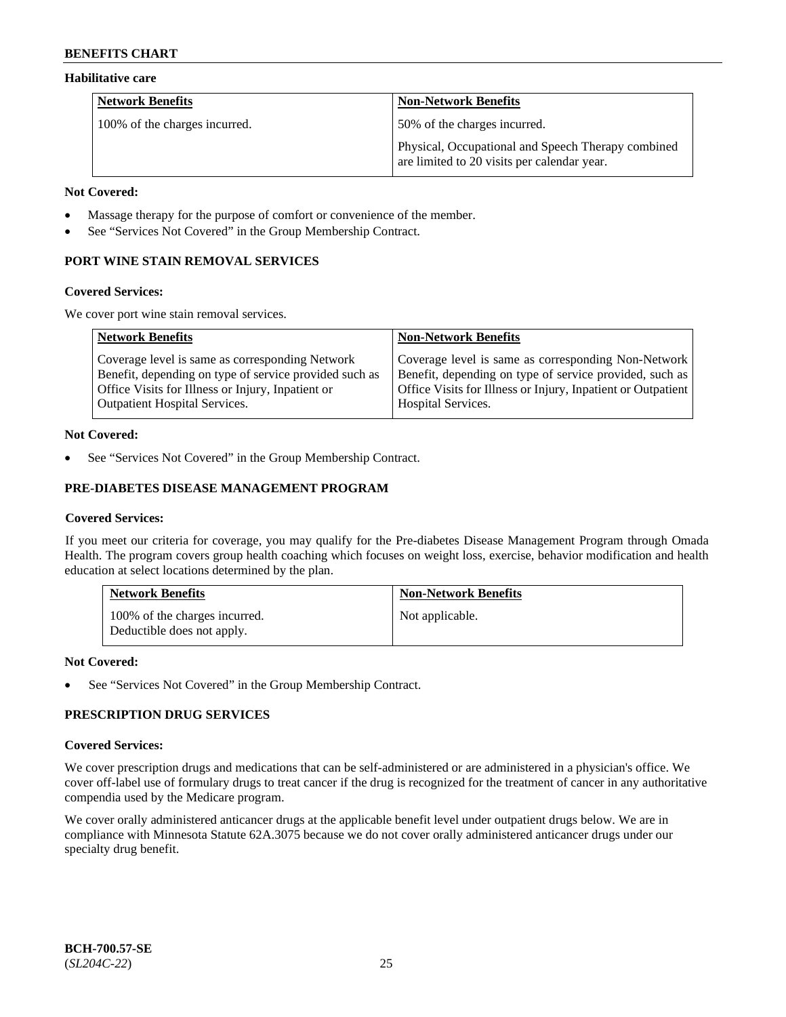### **Habilitative care**

| <b>Network Benefits</b>       | <b>Non-Network Benefits</b>                                                                       |
|-------------------------------|---------------------------------------------------------------------------------------------------|
| 100% of the charges incurred. | 50% of the charges incurred.                                                                      |
|                               | Physical, Occupational and Speech Therapy combined<br>are limited to 20 visits per calendar year. |

#### **Not Covered:**

- Massage therapy for the purpose of comfort or convenience of the member.
- See "Services Not Covered" in the Group Membership Contract.

## **PORT WINE STAIN REMOVAL SERVICES**

#### **Covered Services:**

We cover port wine stain removal services.

| <b>Network Benefits</b>                                | <b>Non-Network Benefits</b>                                  |
|--------------------------------------------------------|--------------------------------------------------------------|
| Coverage level is same as corresponding Network        | Coverage level is same as corresponding Non-Network          |
| Benefit, depending on type of service provided such as | Benefit, depending on type of service provided, such as      |
| Office Visits for Illness or Injury, Inpatient or      | Office Visits for Illness or Injury, Inpatient or Outpatient |
| <b>Outpatient Hospital Services.</b>                   | Hospital Services.                                           |

### **Not Covered:**

See "Services Not Covered" in the Group Membership Contract.

## **PRE-DIABETES DISEASE MANAGEMENT PROGRAM**

### **Covered Services:**

If you meet our criteria for coverage, you may qualify for the Pre-diabetes Disease Management Program through Omada Health. The program covers group health coaching which focuses on weight loss, exercise, behavior modification and health education at select locations determined by the plan.

| <b>Network Benefits</b>                                     | <b>Non-Network Benefits</b> |
|-------------------------------------------------------------|-----------------------------|
| 100% of the charges incurred.<br>Deductible does not apply. | Not applicable.             |

### **Not Covered:**

See "Services Not Covered" in the Group Membership Contract.

## **PRESCRIPTION DRUG SERVICES**

### **Covered Services:**

We cover prescription drugs and medications that can be self-administered or are administered in a physician's office. We cover off-label use of formulary drugs to treat cancer if the drug is recognized for the treatment of cancer in any authoritative compendia used by the Medicare program.

We cover orally administered anticancer drugs at the applicable benefit level under outpatient drugs below. We are in compliance with Minnesota Statute 62A.3075 because we do not cover orally administered anticancer drugs under our specialty drug benefit.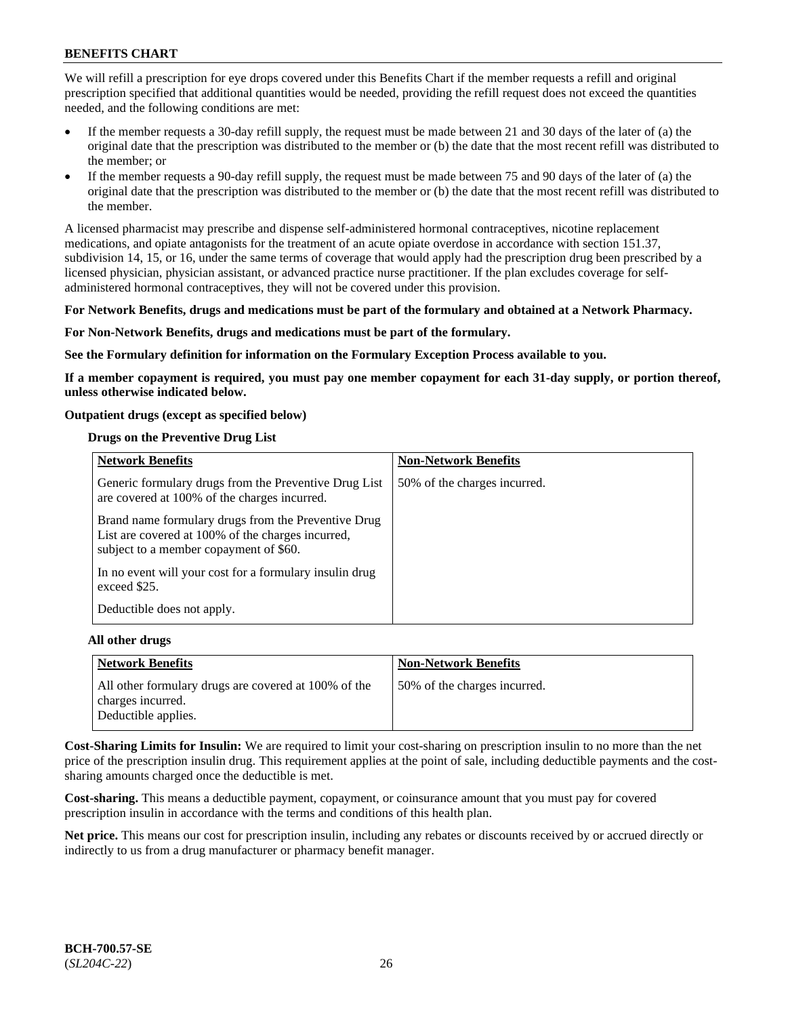We will refill a prescription for eye drops covered under this Benefits Chart if the member requests a refill and original prescription specified that additional quantities would be needed, providing the refill request does not exceed the quantities needed, and the following conditions are met:

- If the member requests a 30-day refill supply, the request must be made between 21 and 30 days of the later of (a) the original date that the prescription was distributed to the member or (b) the date that the most recent refill was distributed to the member; or
- If the member requests a 90-day refill supply, the request must be made between 75 and 90 days of the later of (a) the original date that the prescription was distributed to the member or (b) the date that the most recent refill was distributed to the member.

A licensed pharmacist may prescribe and dispense self-administered hormonal contraceptives, nicotine replacement medications, and opiate antagonists for the treatment of an acute opiate overdose in accordance with section 151.37, subdivision 14, 15, or 16, under the same terms of coverage that would apply had the prescription drug been prescribed by a licensed physician, physician assistant, or advanced practice nurse practitioner. If the plan excludes coverage for selfadministered hormonal contraceptives, they will not be covered under this provision.

#### **For Network Benefits, drugs and medications must be part of the formulary and obtained at a Network Pharmacy.**

#### **For Non-Network Benefits, drugs and medications must be part of the formulary.**

**See the Formulary definition for information on the Formulary Exception Process available to you.**

**If a member copayment is required, you must pay one member copayment for each 31-day supply, or portion thereof, unless otherwise indicated below.**

#### **Outpatient drugs (except as specified below)**

#### **Drugs on the Preventive Drug List**

| <b>Network Benefits</b>                                                                                                                            | <b>Non-Network Benefits</b>  |
|----------------------------------------------------------------------------------------------------------------------------------------------------|------------------------------|
| Generic formulary drugs from the Preventive Drug List<br>are covered at 100% of the charges incurred.                                              | 50% of the charges incurred. |
| Brand name formulary drugs from the Preventive Drug<br>List are covered at 100% of the charges incurred,<br>subject to a member copayment of \$60. |                              |
| In no event will your cost for a formulary insulin drug<br>exceed \$25.                                                                            |                              |
| Deductible does not apply.                                                                                                                         |                              |

#### **All other drugs**

| <b>Network Benefits</b>                                                   | <b>Non-Network Benefits</b>  |
|---------------------------------------------------------------------------|------------------------------|
| All other formulary drugs are covered at 100% of the<br>charges incurred. | 50% of the charges incurred. |
| Deductible applies.                                                       |                              |

**Cost-Sharing Limits for Insulin:** We are required to limit your cost-sharing on prescription insulin to no more than the net price of the prescription insulin drug. This requirement applies at the point of sale, including deductible payments and the costsharing amounts charged once the deductible is met.

**Cost-sharing.** This means a deductible payment, copayment, or coinsurance amount that you must pay for covered prescription insulin in accordance with the terms and conditions of this health plan.

**Net price.** This means our cost for prescription insulin, including any rebates or discounts received by or accrued directly or indirectly to us from a drug manufacturer or pharmacy benefit manager.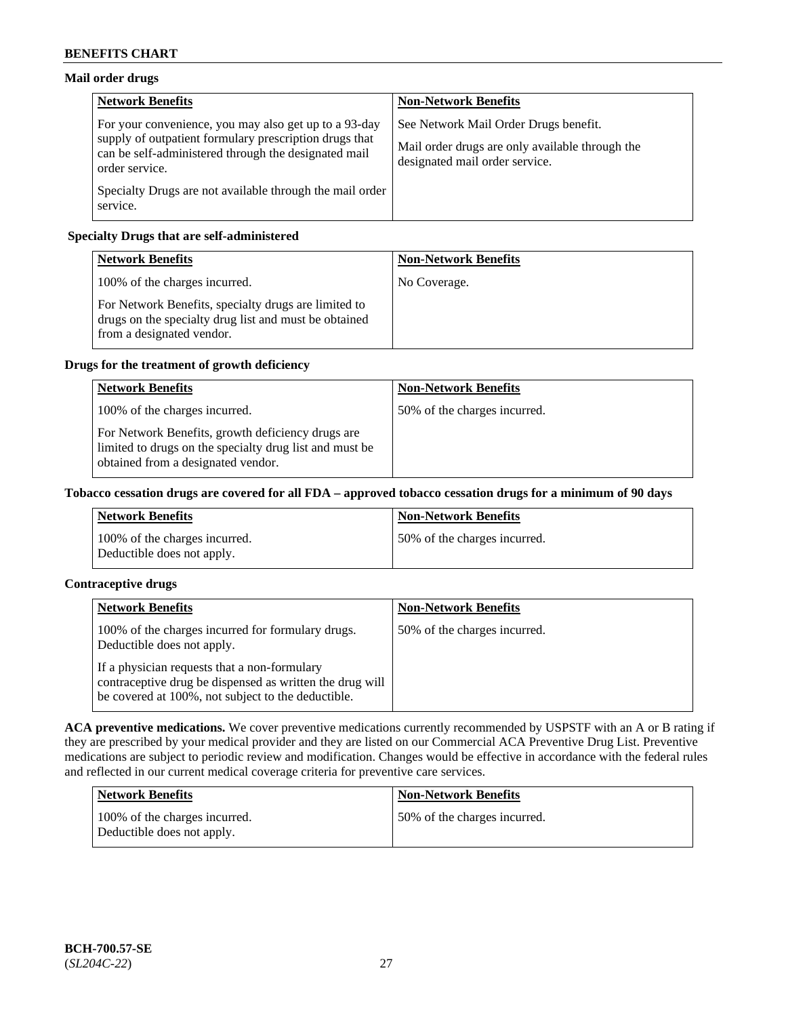## **Mail order drugs**

| <b>Network Benefits</b>                                                                                                                                                                   | <b>Non-Network Benefits</b>                                                                                                |
|-------------------------------------------------------------------------------------------------------------------------------------------------------------------------------------------|----------------------------------------------------------------------------------------------------------------------------|
| For your convenience, you may also get up to a 93-day<br>supply of outpatient formulary prescription drugs that<br>can be self-administered through the designated mail<br>order service. | See Network Mail Order Drugs benefit.<br>Mail order drugs are only available through the<br>designated mail order service. |
| Specialty Drugs are not available through the mail order<br>service.                                                                                                                      |                                                                                                                            |

## **Specialty Drugs that are self-administered**

| <b>Network Benefits</b>                                                                                                                    | <b>Non-Network Benefits</b> |
|--------------------------------------------------------------------------------------------------------------------------------------------|-----------------------------|
| 100% of the charges incurred.                                                                                                              | No Coverage.                |
| For Network Benefits, specialty drugs are limited to<br>drugs on the specialty drug list and must be obtained<br>from a designated vendor. |                             |

## **Drugs for the treatment of growth deficiency**

| <b>Network Benefits</b>                                                                                                                            | <b>Non-Network Benefits</b>  |
|----------------------------------------------------------------------------------------------------------------------------------------------------|------------------------------|
| 100% of the charges incurred.                                                                                                                      | 50% of the charges incurred. |
| For Network Benefits, growth deficiency drugs are<br>limited to drugs on the specialty drug list and must be<br>obtained from a designated vendor. |                              |

### **Tobacco cessation drugs are covered for all FDA – approved tobacco cessation drugs for a minimum of 90 days**

| <b>Network Benefits</b>                                     | <b>Non-Network Benefits</b>  |
|-------------------------------------------------------------|------------------------------|
| 100% of the charges incurred.<br>Deductible does not apply. | 50% of the charges incurred. |

## **Contraceptive drugs**

| <b>Network Benefits</b>                                                                                                                                        | <b>Non-Network Benefits</b>  |
|----------------------------------------------------------------------------------------------------------------------------------------------------------------|------------------------------|
| 100% of the charges incurred for formulary drugs.<br>Deductible does not apply.                                                                                | 50% of the charges incurred. |
| If a physician requests that a non-formulary<br>contraceptive drug be dispensed as written the drug will<br>be covered at 100%, not subject to the deductible. |                              |

**ACA preventive medications.** We cover preventive medications currently recommended by USPSTF with an A or B rating if they are prescribed by your medical provider and they are listed on our Commercial ACA Preventive Drug List. Preventive medications are subject to periodic review and modification. Changes would be effective in accordance with the federal rules and reflected in our current medical coverage criteria for preventive care services.

| Network Benefits                                            | <b>Non-Network Benefits</b>  |
|-------------------------------------------------------------|------------------------------|
| 100% of the charges incurred.<br>Deductible does not apply. | 50% of the charges incurred. |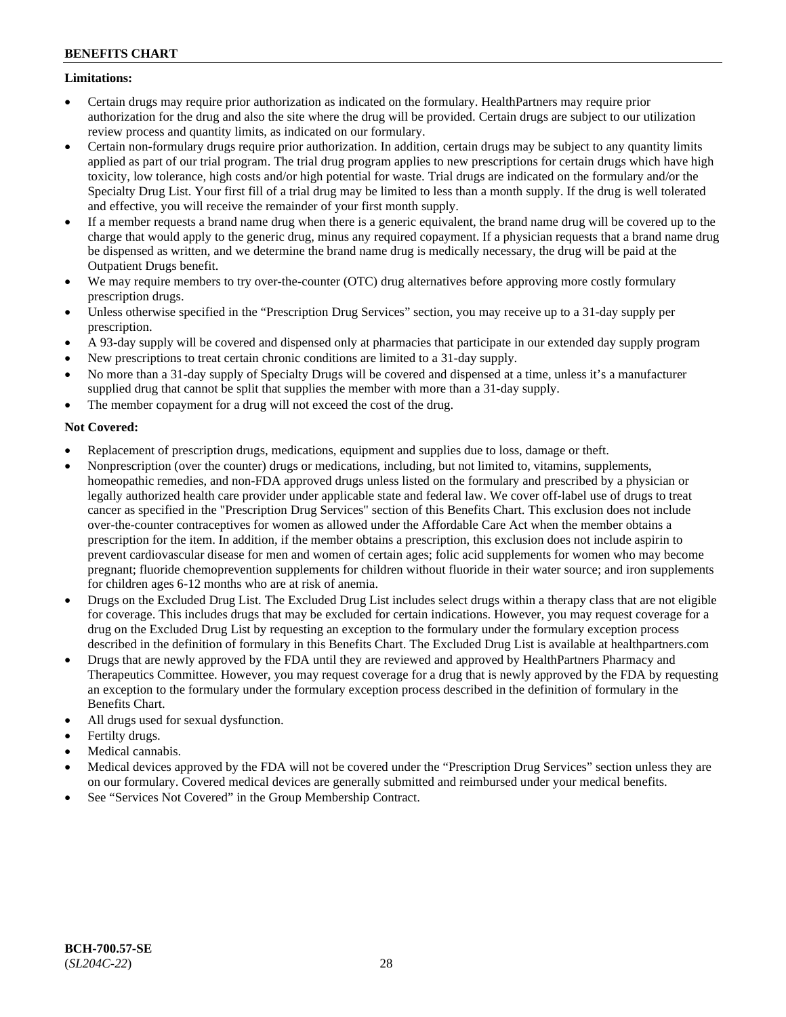### **Limitations:**

- Certain drugs may require prior authorization as indicated on the formulary. HealthPartners may require prior authorization for the drug and also the site where the drug will be provided. Certain drugs are subject to our utilization review process and quantity limits, as indicated on our formulary.
- Certain non-formulary drugs require prior authorization. In addition, certain drugs may be subject to any quantity limits applied as part of our trial program. The trial drug program applies to new prescriptions for certain drugs which have high toxicity, low tolerance, high costs and/or high potential for waste. Trial drugs are indicated on the formulary and/or the Specialty Drug List. Your first fill of a trial drug may be limited to less than a month supply. If the drug is well tolerated and effective, you will receive the remainder of your first month supply.
- If a member requests a brand name drug when there is a generic equivalent, the brand name drug will be covered up to the charge that would apply to the generic drug, minus any required copayment. If a physician requests that a brand name drug be dispensed as written, and we determine the brand name drug is medically necessary, the drug will be paid at the Outpatient Drugs benefit.
- We may require members to try over-the-counter (OTC) drug alternatives before approving more costly formulary prescription drugs.
- Unless otherwise specified in the "Prescription Drug Services" section, you may receive up to a 31-day supply per prescription.
- A 93-day supply will be covered and dispensed only at pharmacies that participate in our extended day supply program
- New prescriptions to treat certain chronic conditions are limited to a 31-day supply.
- No more than a 31-day supply of Specialty Drugs will be covered and dispensed at a time, unless it's a manufacturer supplied drug that cannot be split that supplies the member with more than a 31-day supply.
- The member copayment for a drug will not exceed the cost of the drug.

## **Not Covered:**

- Replacement of prescription drugs, medications, equipment and supplies due to loss, damage or theft.
- Nonprescription (over the counter) drugs or medications, including, but not limited to, vitamins, supplements, homeopathic remedies, and non-FDA approved drugs unless listed on the formulary and prescribed by a physician or legally authorized health care provider under applicable state and federal law. We cover off-label use of drugs to treat cancer as specified in the "Prescription Drug Services" section of this Benefits Chart. This exclusion does not include over-the-counter contraceptives for women as allowed under the Affordable Care Act when the member obtains a prescription for the item. In addition, if the member obtains a prescription, this exclusion does not include aspirin to prevent cardiovascular disease for men and women of certain ages; folic acid supplements for women who may become pregnant; fluoride chemoprevention supplements for children without fluoride in their water source; and iron supplements for children ages 6-12 months who are at risk of anemia.
- Drugs on the Excluded Drug List. The Excluded Drug List includes select drugs within a therapy class that are not eligible for coverage. This includes drugs that may be excluded for certain indications. However, you may request coverage for a drug on the Excluded Drug List by requesting an exception to the formulary under the formulary exception process described in the definition of formulary in this Benefits Chart. The Excluded Drug List is available at [healthpartners.com](http://www.healthpartners.com/)
- Drugs that are newly approved by the FDA until they are reviewed and approved by HealthPartners Pharmacy and Therapeutics Committee. However, you may request coverage for a drug that is newly approved by the FDA by requesting an exception to the formulary under the formulary exception process described in the definition of formulary in the Benefits Chart.
- All drugs used for sexual dysfunction.
- Fertilty drugs.
- Medical cannabis.
- Medical devices approved by the FDA will not be covered under the "Prescription Drug Services" section unless they are on our formulary. Covered medical devices are generally submitted and reimbursed under your medical benefits.
- See "Services Not Covered" in the Group Membership Contract.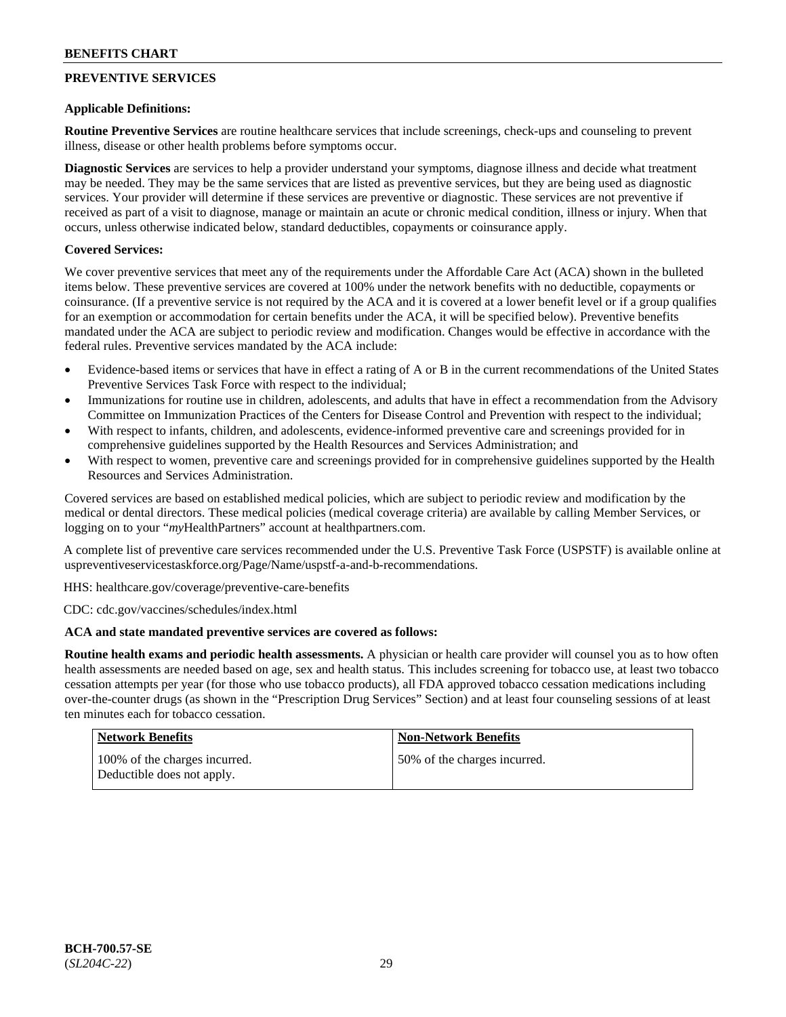## **PREVENTIVE SERVICES**

### **Applicable Definitions:**

**Routine Preventive Services** are routine healthcare services that include screenings, check-ups and counseling to prevent illness, disease or other health problems before symptoms occur.

**Diagnostic Services** are services to help a provider understand your symptoms, diagnose illness and decide what treatment may be needed. They may be the same services that are listed as preventive services, but they are being used as diagnostic services. Your provider will determine if these services are preventive or diagnostic. These services are not preventive if received as part of a visit to diagnose, manage or maintain an acute or chronic medical condition, illness or injury. When that occurs, unless otherwise indicated below, standard deductibles, copayments or coinsurance apply.

## **Covered Services:**

We cover preventive services that meet any of the requirements under the Affordable Care Act (ACA) shown in the bulleted items below. These preventive services are covered at 100% under the network benefits with no deductible, copayments or coinsurance. (If a preventive service is not required by the ACA and it is covered at a lower benefit level or if a group qualifies for an exemption or accommodation for certain benefits under the ACA, it will be specified below). Preventive benefits mandated under the ACA are subject to periodic review and modification. Changes would be effective in accordance with the federal rules. Preventive services mandated by the ACA include:

- Evidence-based items or services that have in effect a rating of A or B in the current recommendations of the United States Preventive Services Task Force with respect to the individual;
- Immunizations for routine use in children, adolescents, and adults that have in effect a recommendation from the Advisory Committee on Immunization Practices of the Centers for Disease Control and Prevention with respect to the individual;
- With respect to infants, children, and adolescents, evidence-informed preventive care and screenings provided for in comprehensive guidelines supported by the Health Resources and Services Administration; and
- With respect to women, preventive care and screenings provided for in comprehensive guidelines supported by the Health Resources and Services Administration.

Covered services are based on established medical policies, which are subject to periodic review and modification by the medical or dental directors. These medical policies (medical coverage criteria) are available by calling Member Services, or logging on to your "*my*HealthPartners" account at [healthpartners.com.](http://www.healthpartners.com/)

A complete list of preventive care services recommended under the U.S. Preventive Task Force (USPSTF) is available online at [uspreventiveservicestaskforce.org/Page/Name/uspstf-a-and-b-recommendations.](https://www.uspreventiveservicestaskforce.org/Page/Name/uspstf-a-and-b-recommendations-by-date/)

HHS: [healthcare.gov/coverage/preventive-care-benefits](https://www.healthcare.gov/coverage/preventive-care-benefits/)

CDC: [cdc.gov/vaccines/schedules/index.html](https://www.cdc.gov/vaccines/schedules/index.html)

### **ACA and state mandated preventive services are covered as follows:**

**Routine health exams and periodic health assessments.** A physician or health care provider will counsel you as to how often health assessments are needed based on age, sex and health status. This includes screening for tobacco use, at least two tobacco cessation attempts per year (for those who use tobacco products), all FDA approved tobacco cessation medications including over-the-counter drugs (as shown in the "Prescription Drug Services" Section) and at least four counseling sessions of at least ten minutes each for tobacco cessation.

| <b>Network Benefits</b>                                     | <b>Non-Network Benefits</b>  |
|-------------------------------------------------------------|------------------------------|
| 100% of the charges incurred.<br>Deductible does not apply. | 50% of the charges incurred. |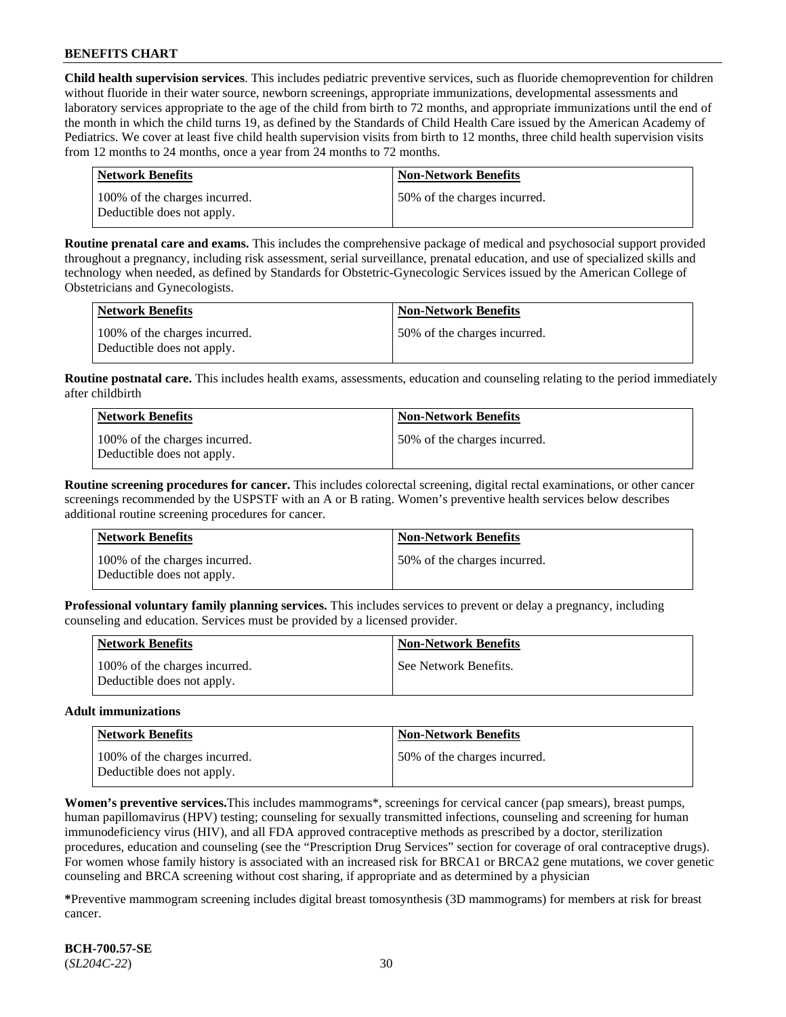**Child health supervision services**. This includes pediatric preventive services, such as fluoride chemoprevention for children without fluoride in their water source, newborn screenings, appropriate immunizations, developmental assessments and laboratory services appropriate to the age of the child from birth to 72 months, and appropriate immunizations until the end of the month in which the child turns 19, as defined by the Standards of Child Health Care issued by the American Academy of Pediatrics. We cover at least five child health supervision visits from birth to 12 months, three child health supervision visits from 12 months to 24 months, once a year from 24 months to 72 months.

| Network Benefits                                            | <b>Non-Network Benefits</b>  |
|-------------------------------------------------------------|------------------------------|
| 100% of the charges incurred.<br>Deductible does not apply. | 50% of the charges incurred. |

**Routine prenatal care and exams.** This includes the comprehensive package of medical and psychosocial support provided throughout a pregnancy, including risk assessment, serial surveillance, prenatal education, and use of specialized skills and technology when needed, as defined by Standards for Obstetric-Gynecologic Services issued by the American College of Obstetricians and Gynecologists.

| Network Benefits                                            | <b>Non-Network Benefits</b>  |
|-------------------------------------------------------------|------------------------------|
| 100% of the charges incurred.<br>Deductible does not apply. | 50% of the charges incurred. |

**Routine postnatal care.** This includes health exams, assessments, education and counseling relating to the period immediately after childbirth

| Network Benefits                                            | <b>Non-Network Benefits</b>  |
|-------------------------------------------------------------|------------------------------|
| 100% of the charges incurred.<br>Deductible does not apply. | 50% of the charges incurred. |

**Routine screening procedures for cancer.** This includes colorectal screening, digital rectal examinations, or other cancer screenings recommended by the USPSTF with an A or B rating. Women's preventive health services below describes additional routine screening procedures for cancer.

| Network Benefits                                            | <b>Non-Network Benefits</b>  |
|-------------------------------------------------------------|------------------------------|
| 100% of the charges incurred.<br>Deductible does not apply. | 50% of the charges incurred. |

**Professional voluntary family planning services.** This includes services to prevent or delay a pregnancy, including counseling and education. Services must be provided by a licensed provider.

| <b>Network Benefits</b>                                     | <b>Non-Network Benefits</b> |
|-------------------------------------------------------------|-----------------------------|
| 100% of the charges incurred.<br>Deductible does not apply. | See Network Benefits.       |

#### **Adult immunizations**

| Network Benefits                                            | <b>Non-Network Benefits</b>  |
|-------------------------------------------------------------|------------------------------|
| 100% of the charges incurred.<br>Deductible does not apply. | 50% of the charges incurred. |

**Women's preventive services.**This includes mammograms\*, screenings for cervical cancer (pap smears), breast pumps, human papillomavirus (HPV) testing; counseling for sexually transmitted infections, counseling and screening for human immunodeficiency virus (HIV), and all FDA approved contraceptive methods as prescribed by a doctor, sterilization procedures, education and counseling (see the "Prescription Drug Services" section for coverage of oral contraceptive drugs). For women whose family history is associated with an increased risk for BRCA1 or BRCA2 gene mutations, we cover genetic counseling and BRCA screening without cost sharing, if appropriate and as determined by a physician

**\***Preventive mammogram screening includes digital breast tomosynthesis (3D mammograms) for members at risk for breast cancer.

**BCH-700.57-SE** (*SL204C-22*) 30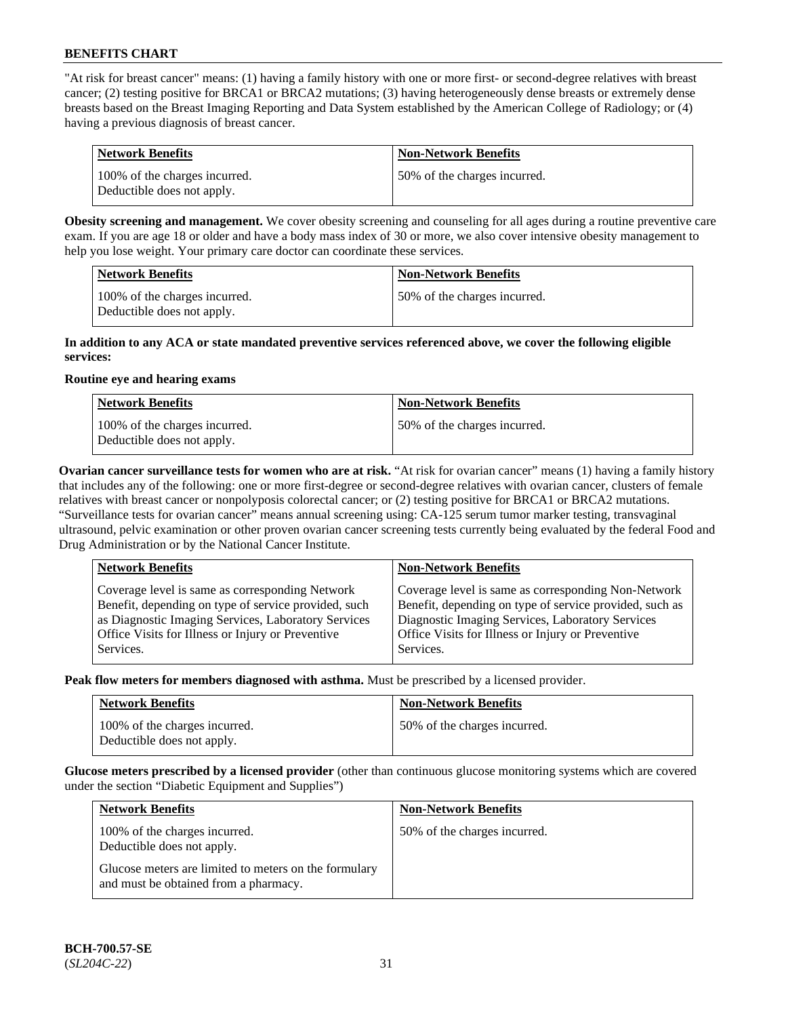"At risk for breast cancer" means: (1) having a family history with one or more first- or second-degree relatives with breast cancer; (2) testing positive for BRCA1 or BRCA2 mutations; (3) having heterogeneously dense breasts or extremely dense breasts based on the Breast Imaging Reporting and Data System established by the American College of Radiology; or (4) having a previous diagnosis of breast cancer.

| Network Benefits                                            | <b>Non-Network Benefits</b>  |
|-------------------------------------------------------------|------------------------------|
| 100% of the charges incurred.<br>Deductible does not apply. | 50% of the charges incurred. |

**Obesity screening and management.** We cover obesity screening and counseling for all ages during a routine preventive care exam. If you are age 18 or older and have a body mass index of 30 or more, we also cover intensive obesity management to help you lose weight. Your primary care doctor can coordinate these services.

| <b>Network Benefits</b>                                     | <b>Non-Network Benefits</b>  |
|-------------------------------------------------------------|------------------------------|
| 100% of the charges incurred.<br>Deductible does not apply. | 50% of the charges incurred. |

#### **In addition to any ACA or state mandated preventive services referenced above, we cover the following eligible services:**

#### **Routine eye and hearing exams**

| <b>Network Benefits</b>                                     | <b>Non-Network Benefits</b>  |
|-------------------------------------------------------------|------------------------------|
| 100% of the charges incurred.<br>Deductible does not apply. | 50% of the charges incurred. |

**Ovarian cancer surveillance tests for women who are at risk.** "At risk for ovarian cancer" means (1) having a family history that includes any of the following: one or more first-degree or second-degree relatives with ovarian cancer, clusters of female relatives with breast cancer or nonpolyposis colorectal cancer; or (2) testing positive for BRCA1 or BRCA2 mutations. "Surveillance tests for ovarian cancer" means annual screening using: CA-125 serum tumor marker testing, transvaginal ultrasound, pelvic examination or other proven ovarian cancer screening tests currently being evaluated by the federal Food and Drug Administration or by the National Cancer Institute.

| <b>Network Benefits</b>                                                                                                                                                                                                          | <b>Non-Network Benefits</b>                                                                                                                                                                                                          |
|----------------------------------------------------------------------------------------------------------------------------------------------------------------------------------------------------------------------------------|--------------------------------------------------------------------------------------------------------------------------------------------------------------------------------------------------------------------------------------|
| Coverage level is same as corresponding Network<br>Benefit, depending on type of service provided, such<br>as Diagnostic Imaging Services, Laboratory Services<br>Office Visits for Illness or Injury or Preventive<br>Services. | Coverage level is same as corresponding Non-Network<br>Benefit, depending on type of service provided, such as<br>Diagnostic Imaging Services, Laboratory Services<br>Office Visits for Illness or Injury or Preventive<br>Services. |
|                                                                                                                                                                                                                                  |                                                                                                                                                                                                                                      |

**Peak flow meters for members diagnosed with asthma.** Must be prescribed by a licensed provider.

| <b>Network Benefits</b>                                     | <b>Non-Network Benefits</b>  |
|-------------------------------------------------------------|------------------------------|
| 100% of the charges incurred.<br>Deductible does not apply. | 50% of the charges incurred. |

**Glucose meters prescribed by a licensed provider** (other than continuous glucose monitoring systems which are covered under the section "Diabetic Equipment and Supplies")

| <b>Network Benefits</b>                                                                        | <b>Non-Network Benefits</b>  |
|------------------------------------------------------------------------------------------------|------------------------------|
| 100% of the charges incurred.<br>Deductible does not apply.                                    | 50% of the charges incurred. |
| Glucose meters are limited to meters on the formulary<br>and must be obtained from a pharmacy. |                              |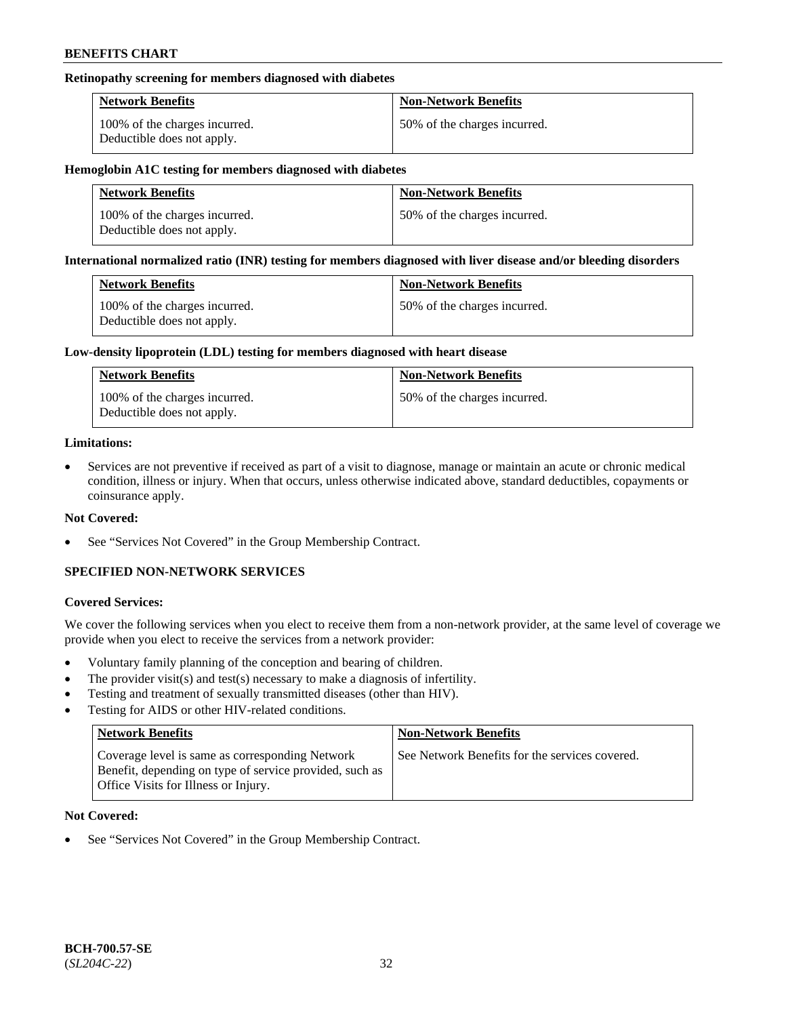### **Retinopathy screening for members diagnosed with diabetes**

| <b>Network Benefits</b>                                     | <b>Non-Network Benefits</b>  |
|-------------------------------------------------------------|------------------------------|
| 100% of the charges incurred.<br>Deductible does not apply. | 50% of the charges incurred. |

#### **Hemoglobin A1C testing for members diagnosed with diabetes**

| <b>Network Benefits</b>                                     | <b>Non-Network Benefits</b>  |
|-------------------------------------------------------------|------------------------------|
| 100% of the charges incurred.<br>Deductible does not apply. | 50% of the charges incurred. |

#### **International normalized ratio (INR) testing for members diagnosed with liver disease and/or bleeding disorders**

| <b>Network Benefits</b>                                     | <b>Non-Network Benefits</b>  |
|-------------------------------------------------------------|------------------------------|
| 100% of the charges incurred.<br>Deductible does not apply. | 50% of the charges incurred. |

#### **Low-density lipoprotein (LDL) testing for members diagnosed with heart disease**

| <b>Network Benefits</b>                                     | <b>Non-Network Benefits</b>  |
|-------------------------------------------------------------|------------------------------|
| 100% of the charges incurred.<br>Deductible does not apply. | 50% of the charges incurred. |

#### **Limitations:**

• Services are not preventive if received as part of a visit to diagnose, manage or maintain an acute or chronic medical condition, illness or injury. When that occurs, unless otherwise indicated above, standard deductibles, copayments or coinsurance apply.

### **Not Covered:**

See "Services Not Covered" in the Group Membership Contract.

## **SPECIFIED NON-NETWORK SERVICES**

### **Covered Services:**

We cover the following services when you elect to receive them from a non-network provider, at the same level of coverage we provide when you elect to receive the services from a network provider:

- Voluntary family planning of the conception and bearing of children.
- The provider visit(s) and test(s) necessary to make a diagnosis of infertility.
- Testing and treatment of sexually transmitted diseases (other than HIV).
- Testing for AIDS or other HIV-related conditions.

| <b>Network Benefits</b>                                                                                                                            | <b>Non-Network Benefits</b>                    |
|----------------------------------------------------------------------------------------------------------------------------------------------------|------------------------------------------------|
| Coverage level is same as corresponding Network<br>Benefit, depending on type of service provided, such as<br>Office Visits for Illness or Injury. | See Network Benefits for the services covered. |

### **Not Covered:**

See "Services Not Covered" in the Group Membership Contract.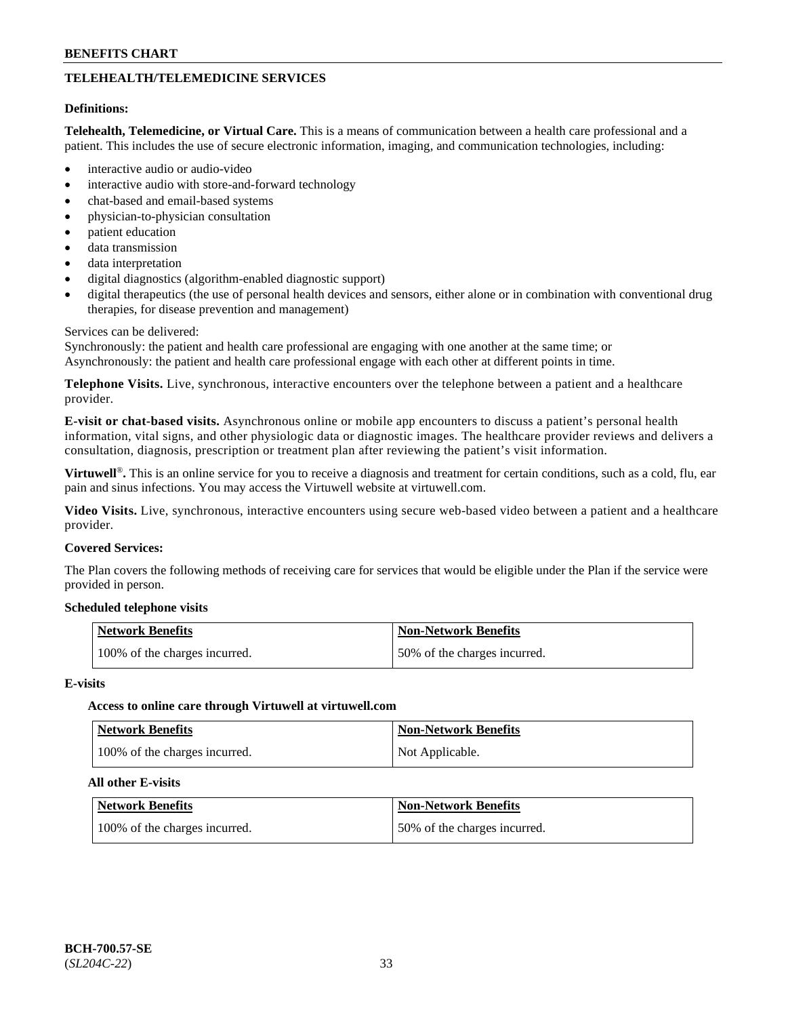## **TELEHEALTH/TELEMEDICINE SERVICES**

#### **Definitions:**

**Telehealth, Telemedicine, or Virtual Care.** This is a means of communication between a health care professional and a patient. This includes the use of secure electronic information, imaging, and communication technologies, including:

- interactive audio or audio-video
- interactive audio with store-and-forward technology
- chat-based and email-based systems
- physician-to-physician consultation
- patient education
- data transmission
- data interpretation
- digital diagnostics (algorithm-enabled diagnostic support)
- digital therapeutics (the use of personal health devices and sensors, either alone or in combination with conventional drug therapies, for disease prevention and management)

#### Services can be delivered:

Synchronously: the patient and health care professional are engaging with one another at the same time; or Asynchronously: the patient and health care professional engage with each other at different points in time.

**Telephone Visits.** Live, synchronous, interactive encounters over the telephone between a patient and a healthcare provider.

**E-visit or chat-based visits.** Asynchronous online or mobile app encounters to discuss a patient's personal health information, vital signs, and other physiologic data or diagnostic images. The healthcare provider reviews and delivers a consultation, diagnosis, prescription or treatment plan after reviewing the patient's visit information.

**Virtuwell<sup>®</sup>**. This is an online service for you to receive a diagnosis and treatment for certain conditions, such as a cold, flu, ear pain and sinus infections. You may access the Virtuwell website at [virtuwell.com.](https://www.virtuwell.com/)

**Video Visits.** Live, synchronous, interactive encounters using secure web-based video between a patient and a healthcare provider.

#### **Covered Services:**

The Plan covers the following methods of receiving care for services that would be eligible under the Plan if the service were provided in person.

#### **Scheduled telephone visits**

| Network Benefits              | <b>Non-Network Benefits</b>  |
|-------------------------------|------------------------------|
| 100% of the charges incurred. | 50% of the charges incurred. |

#### **E-visits**

### **Access to online care through Virtuwell at [virtuwell.com](https://www.virtuwell.com/)**

| <b>Network Benefits</b>       | <b>Non-Network Benefits</b> |
|-------------------------------|-----------------------------|
| 100% of the charges incurred. | Not Applicable.             |

#### **All other E-visits**

| <b>Network Benefits</b>       | <b>Non-Network Benefits</b>  |
|-------------------------------|------------------------------|
| 100% of the charges incurred. | 50% of the charges incurred. |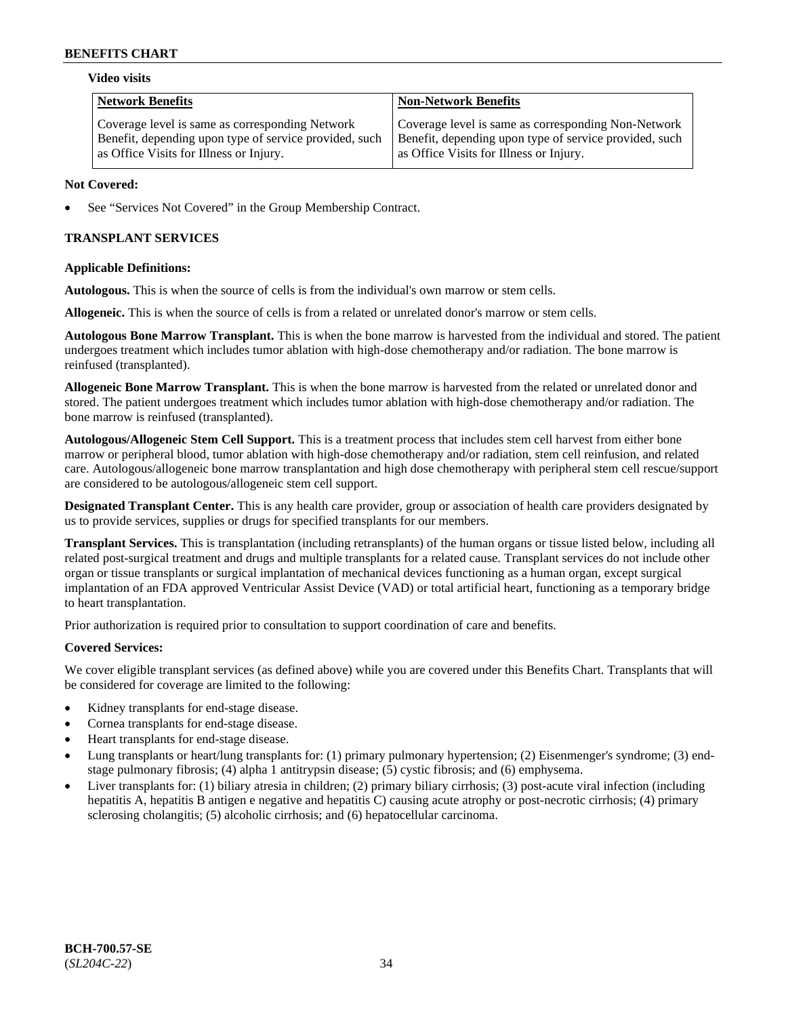#### **Video visits**

| <b>Network Benefits</b>                                | <b>Non-Network Benefits</b>                            |
|--------------------------------------------------------|--------------------------------------------------------|
| Coverage level is same as corresponding Network        | Coverage level is same as corresponding Non-Network    |
| Benefit, depending upon type of service provided, such | Benefit, depending upon type of service provided, such |
| as Office Visits for Illness or Injury.                | as Office Visits for Illness or Injury.                |

### **Not Covered:**

See "Services Not Covered" in the Group Membership Contract.

## **TRANSPLANT SERVICES**

### **Applicable Definitions:**

**Autologous.** This is when the source of cells is from the individual's own marrow or stem cells.

**Allogeneic.** This is when the source of cells is from a related or unrelated donor's marrow or stem cells.

**Autologous Bone Marrow Transplant.** This is when the bone marrow is harvested from the individual and stored. The patient undergoes treatment which includes tumor ablation with high-dose chemotherapy and/or radiation. The bone marrow is reinfused (transplanted).

**Allogeneic Bone Marrow Transplant.** This is when the bone marrow is harvested from the related or unrelated donor and stored. The patient undergoes treatment which includes tumor ablation with high-dose chemotherapy and/or radiation. The bone marrow is reinfused (transplanted).

**Autologous/Allogeneic Stem Cell Support.** This is a treatment process that includes stem cell harvest from either bone marrow or peripheral blood, tumor ablation with high-dose chemotherapy and/or radiation, stem cell reinfusion, and related care. Autologous/allogeneic bone marrow transplantation and high dose chemotherapy with peripheral stem cell rescue/support are considered to be autologous/allogeneic stem cell support.

**Designated Transplant Center.** This is any health care provider, group or association of health care providers designated by us to provide services, supplies or drugs for specified transplants for our members.

**Transplant Services.** This is transplantation (including retransplants) of the human organs or tissue listed below, including all related post-surgical treatment and drugs and multiple transplants for a related cause. Transplant services do not include other organ or tissue transplants or surgical implantation of mechanical devices functioning as a human organ, except surgical implantation of an FDA approved Ventricular Assist Device (VAD) or total artificial heart, functioning as a temporary bridge to heart transplantation.

Prior authorization is required prior to consultation to support coordination of care and benefits.

### **Covered Services:**

We cover eligible transplant services (as defined above) while you are covered under this Benefits Chart. Transplants that will be considered for coverage are limited to the following:

- Kidney transplants for end-stage disease.
- Cornea transplants for end-stage disease.
- Heart transplants for end-stage disease.
- Lung transplants or heart/lung transplants for: (1) primary pulmonary hypertension; (2) Eisenmenger's syndrome; (3) endstage pulmonary fibrosis; (4) alpha 1 antitrypsin disease; (5) cystic fibrosis; and (6) emphysema.
- Liver transplants for: (1) biliary atresia in children; (2) primary biliary cirrhosis; (3) post-acute viral infection (including hepatitis A, hepatitis B antigen e negative and hepatitis C) causing acute atrophy or post-necrotic cirrhosis; (4) primary sclerosing cholangitis; (5) alcoholic cirrhosis; and (6) hepatocellular carcinoma.